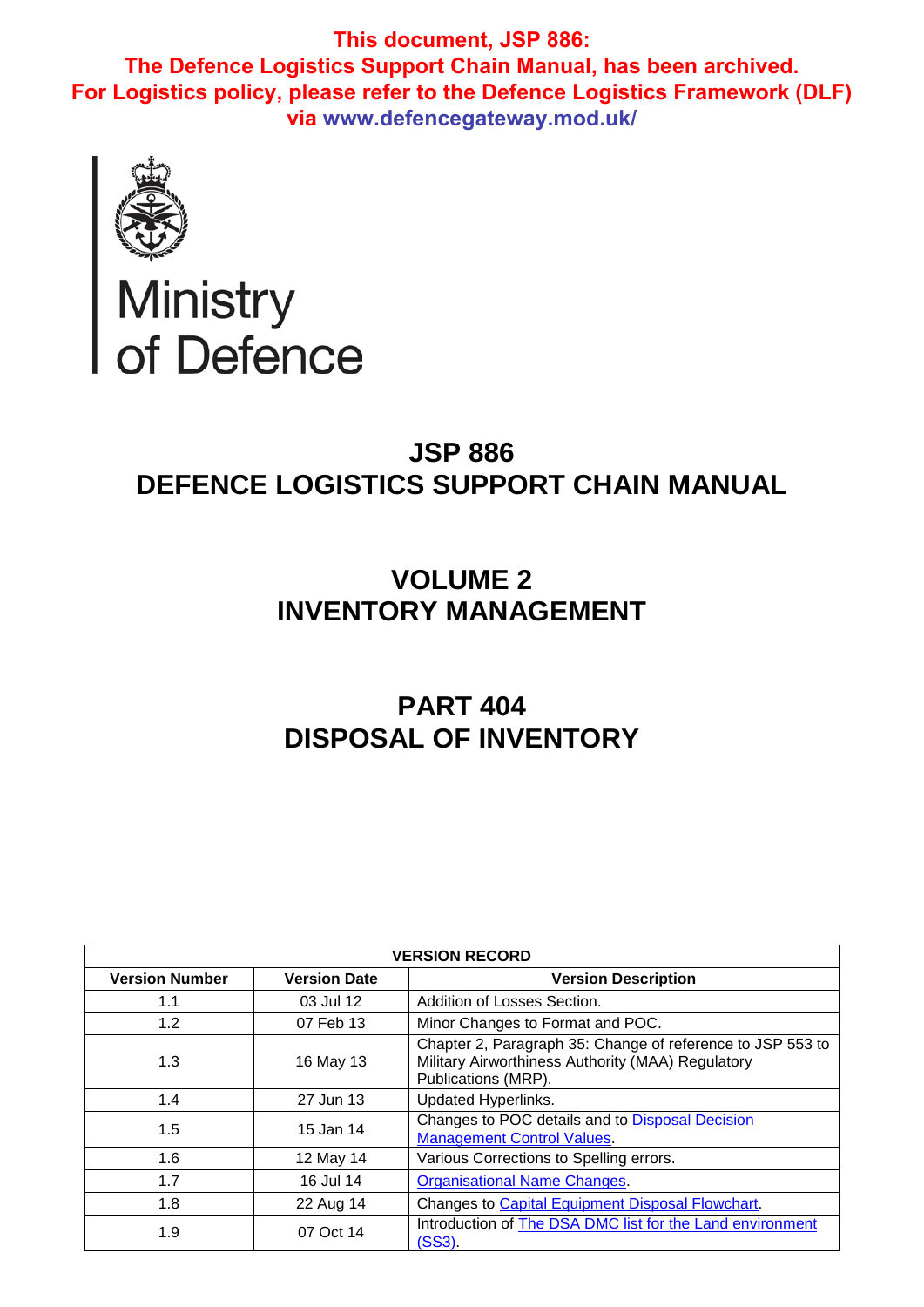

# Ministry<br>of Defence

## **JSP 886 DEFENCE LOGISTICS SUPPORT CHAIN MANUAL**

# **VOLUME 2 INVENTORY MANAGEMENT**

# **PART 404 DISPOSAL OF INVENTORY**

| <b>VERSION RECORD</b> |                     |                                                                                                                                        |  |  |  |  |  |  |  |
|-----------------------|---------------------|----------------------------------------------------------------------------------------------------------------------------------------|--|--|--|--|--|--|--|
| <b>Version Number</b> | <b>Version Date</b> | <b>Version Description</b>                                                                                                             |  |  |  |  |  |  |  |
| 1.1                   | 03 Jul 12           | Addition of Losses Section.                                                                                                            |  |  |  |  |  |  |  |
| 1.2                   | 07 Feb 13           | Minor Changes to Format and POC.                                                                                                       |  |  |  |  |  |  |  |
| 1.3                   | 16 May 13           | Chapter 2, Paragraph 35: Change of reference to JSP 553 to<br>Military Airworthiness Authority (MAA) Regulatory<br>Publications (MRP). |  |  |  |  |  |  |  |
| 1.4                   | 27 Jun 13           | Updated Hyperlinks.                                                                                                                    |  |  |  |  |  |  |  |
| 1.5                   | 15 Jan 14           | Changes to POC details and to Disposal Decision<br><b>Management Control Values.</b>                                                   |  |  |  |  |  |  |  |
| 1.6                   | 12 May 14           | Various Corrections to Spelling errors.                                                                                                |  |  |  |  |  |  |  |
| 1.7                   | 16 Jul 14           | <b>Organisational Name Changes.</b>                                                                                                    |  |  |  |  |  |  |  |
| 1.8                   | 22 Aug 14           | Changes to Capital Equipment Disposal Flowchart.                                                                                       |  |  |  |  |  |  |  |
| 1.9                   | 07 Oct 14           | Introduction of The DSA DMC list for the Land environment<br>(SS3).                                                                    |  |  |  |  |  |  |  |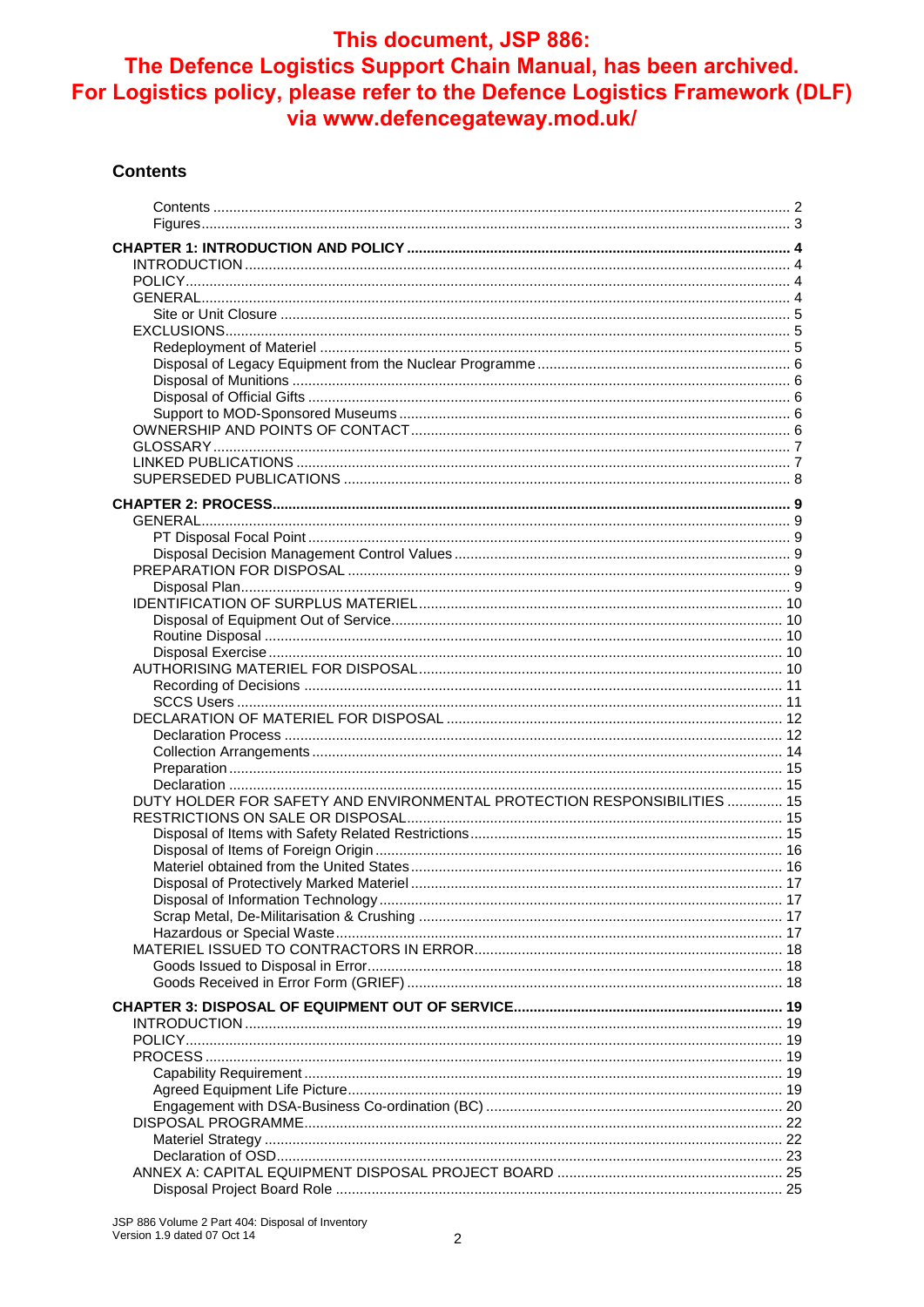#### **Contents**

| DUTY HOLDER FOR SAFETY AND ENVIRONMENTAL PROTECTION RESPONSIBILITIES  15 |  |
|--------------------------------------------------------------------------|--|
|                                                                          |  |
|                                                                          |  |
|                                                                          |  |
|                                                                          |  |
|                                                                          |  |
|                                                                          |  |
|                                                                          |  |
|                                                                          |  |
|                                                                          |  |
|                                                                          |  |
|                                                                          |  |
|                                                                          |  |
|                                                                          |  |
|                                                                          |  |
|                                                                          |  |
|                                                                          |  |
|                                                                          |  |
|                                                                          |  |
|                                                                          |  |
|                                                                          |  |
|                                                                          |  |
|                                                                          |  |
|                                                                          |  |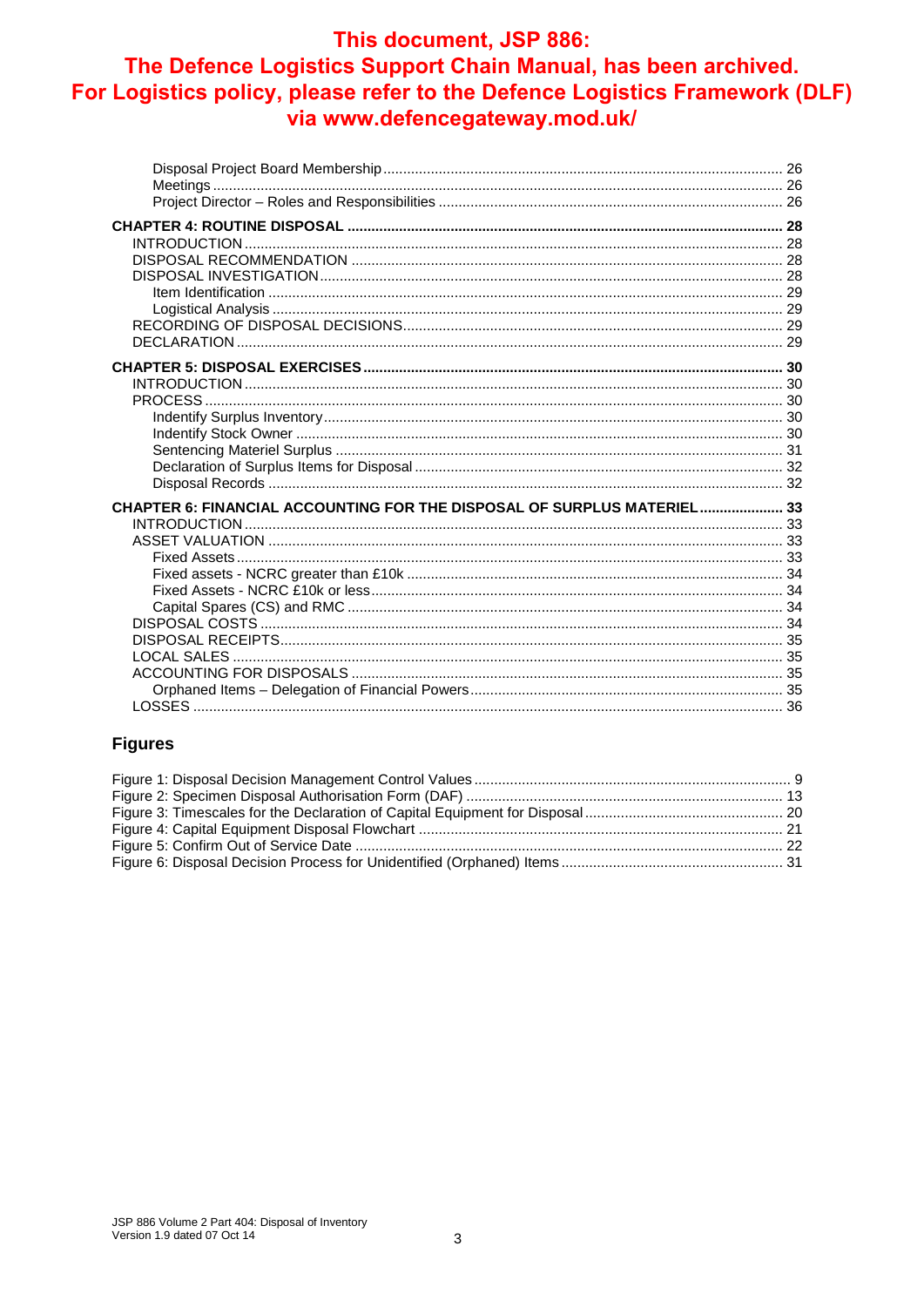## This document, JSP 886:

## The Defence Logistics Support Chain Manual, has been archived. For Logistics policy, please refer to the Defence Logistics Framework (DLF) via www.defencegateway.mod.uk/

| CHAPTER 6: FINANCIAL ACCOUNTING FOR THE DISPOSAL OF SURPLUS MATERIEL 33 |  |
|-------------------------------------------------------------------------|--|
|                                                                         |  |
|                                                                         |  |
|                                                                         |  |
|                                                                         |  |
|                                                                         |  |
|                                                                         |  |
|                                                                         |  |
|                                                                         |  |
|                                                                         |  |
|                                                                         |  |
|                                                                         |  |

#### **Figures**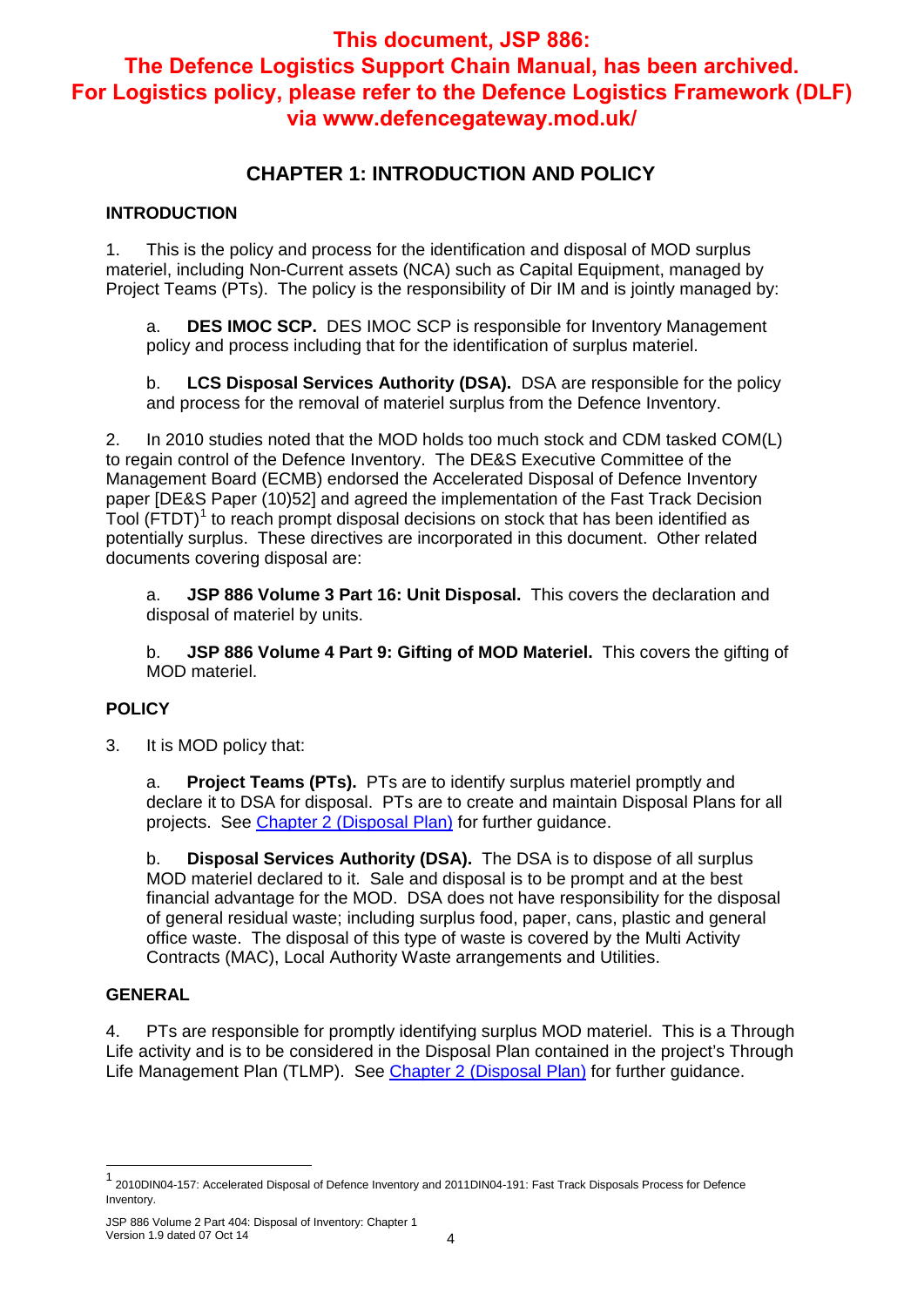## **CHAPTER 1: INTRODUCTION AND POLICY**

#### **INTRODUCTION**

1. This is the policy and process for the identification and disposal of MOD surplus materiel, including Non-Current assets (NCA) such as Capital Equipment, managed by Project Teams (PTs). The policy is the responsibility of Dir IM and is jointly managed by:

a. **DES IMOC SCP.** DES IMOC SCP is responsible for Inventory Management policy and process including that for the identification of surplus materiel.

b. **LCS Disposal Services Authority (DSA).** DSA are responsible for the policy and process for the removal of materiel surplus from the Defence Inventory.

2. In 2010 studies noted that the MOD holds too much stock and CDM tasked COM(L) to regain control of the Defence Inventory. The DE&S Executive Committee of the Management Board (ECMB) endorsed the Accelerated Disposal of Defence Inventory paper [DE&S Paper (10)52] and agreed the implementation of the Fast Track Decision Tool (FTDT)<sup>1</sup> to reach prompt disposal decisions on stock that has been identified as potentially surplus. These directives are incorporated in this document. Other related documents covering disposal are:

a. **JSP 886 Volume 3 Part 16: Unit Disposal.** This covers the declaration and disposal of materiel by units.

b. **JSP 886 Volume 4 Part 9: Gifting of MOD Materiel.** This covers the gifting of MOD materiel.

#### **POLICY**

3. It is MOD policy that:

a. **Project Teams (PTs).** PTs are to identify surplus materiel promptly and declare it to DSA for disposal. PTs are to create and maintain Disposal Plans for all projects. See Chapter 2 (Disposal Plan) for further guidance.

b. **Disposal Services Authority (DSA).** The DSA is to dispose of all surplus MOD materiel declared to it. Sale and disposal is to be prompt and at the best financial advantage for the MOD. DSA does not have responsibility for the disposal of general residual waste; including surplus food, paper, cans, plastic and general office waste. The disposal of this type of waste is covered by the Multi Activity Contracts (MAC), Local Authority Waste arrangements and Utilities.

#### **GENERAL**

 $\overline{a}$ 

4. PTs are responsible for promptly identifying surplus MOD materiel. This is a Through Life activity and is to be considered in the Disposal Plan contained in the project's Through Life Management Plan (TLMP). See Chapter 2 (Disposal Plan) for further guidance.

<sup>1</sup> 2010DIN04-157: Accelerated Disposal of Defence Inventory and 2011DIN04-191: Fast Track Disposals Process for Defence Inventory.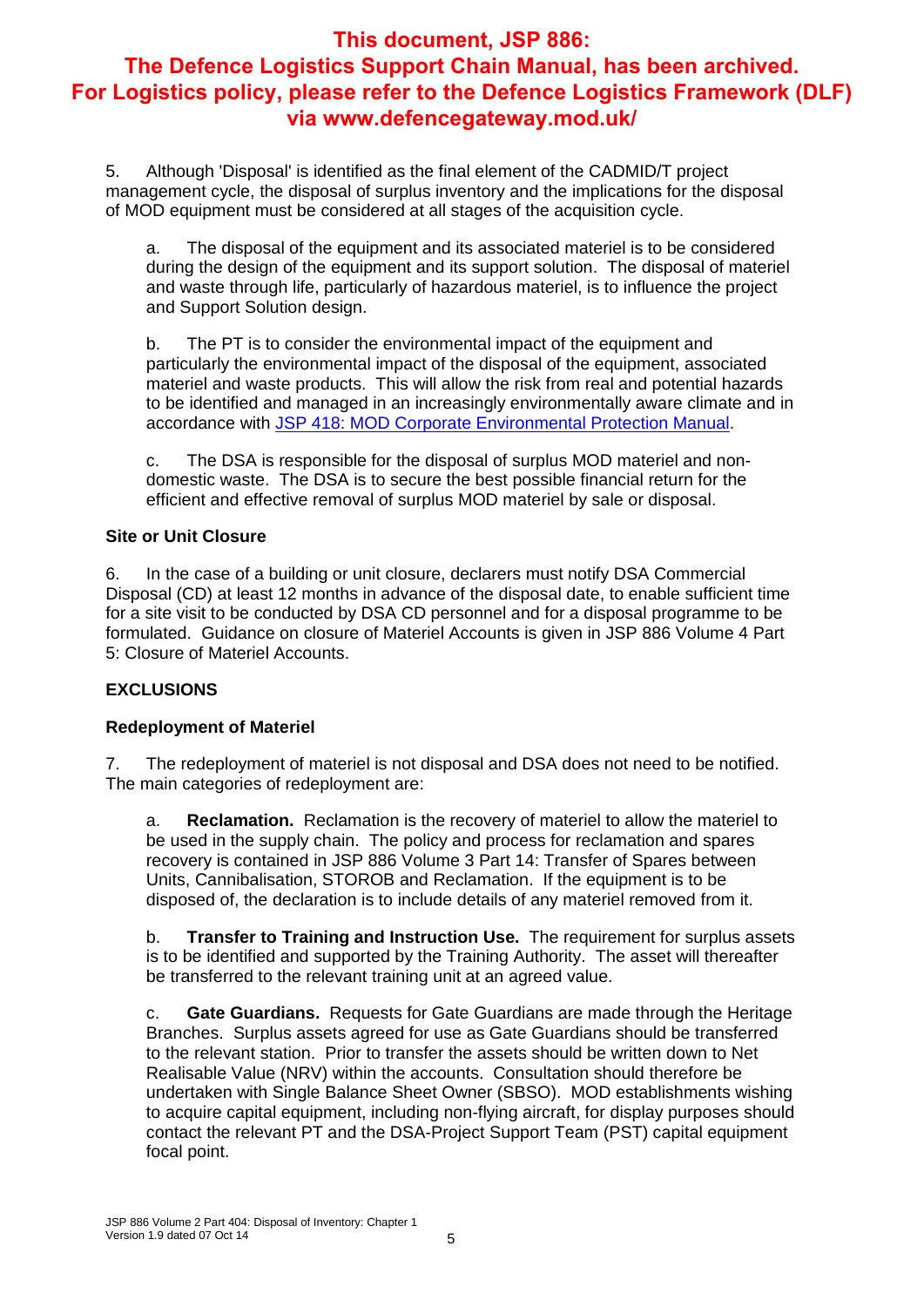5. Although 'Disposal' is identified as the final element of the CADMID/T project management cycle, the disposal of surplus inventory and the implications for the disposal of MOD equipment must be considered at all stages of the acquisition cycle.

a. The disposal of the equipment and its associated materiel is to be considered during the design of the equipment and its support solution. The disposal of materiel and waste through life, particularly of hazardous materiel, is to influence the project and Support Solution design.

b. The PT is to consider the environmental impact of the equipment and particularly the environmental impact of the disposal of the equipment, associated materiel and waste products. This will allow the risk from real and potential hazards to be identified and managed in an increasingly environmentally aware climate and in accordance with JSP 418: MOD Corporate Environmental Protection Manual.

c. The DSA is responsible for the disposal of surplus MOD materiel and nondomestic waste. The DSA is to secure the best possible financial return for the efficient and effective removal of surplus MOD materiel by sale or disposal.

#### **Site or Unit Closure**

6. In the case of a building or unit closure, declarers must notify DSA Commercial Disposal (CD) at least 12 months in advance of the disposal date, to enable sufficient time for a site visit to be conducted by DSA CD personnel and for a disposal programme to be formulated. Guidance on closure of Materiel Accounts is given in JSP 886 Volume 4 Part 5: Closure of Materiel Accounts.

#### **EXCLUSIONS**

#### **Redeployment of Materiel**

7. The redeployment of materiel is not disposal and DSA does not need to be notified. The main categories of redeployment are:

a. **Reclamation.** Reclamation is the recovery of materiel to allow the materiel to be used in the supply chain. The policy and process for reclamation and spares recovery is contained in JSP 886 Volume 3 Part 14: Transfer of Spares between Units, Cannibalisation, STOROB and Reclamation. If the equipment is to be disposed of, the declaration is to include details of any materiel removed from it.

b. **Transfer to Training and Instruction Use.** The requirement for surplus assets is to be identified and supported by the Training Authority. The asset will thereafter be transferred to the relevant training unit at an agreed value.

c. **Gate Guardians.** Requests for Gate Guardians are made through the Heritage Branches. Surplus assets agreed for use as Gate Guardians should be transferred to the relevant station. Prior to transfer the assets should be written down to Net Realisable Value (NRV) within the accounts. Consultation should therefore be undertaken with Single Balance Sheet Owner (SBSO). MOD establishments wishing to acquire capital equipment, including non-flying aircraft, for display purposes should contact the relevant PT and the DSA-Project Support Team (PST) capital equipment focal point.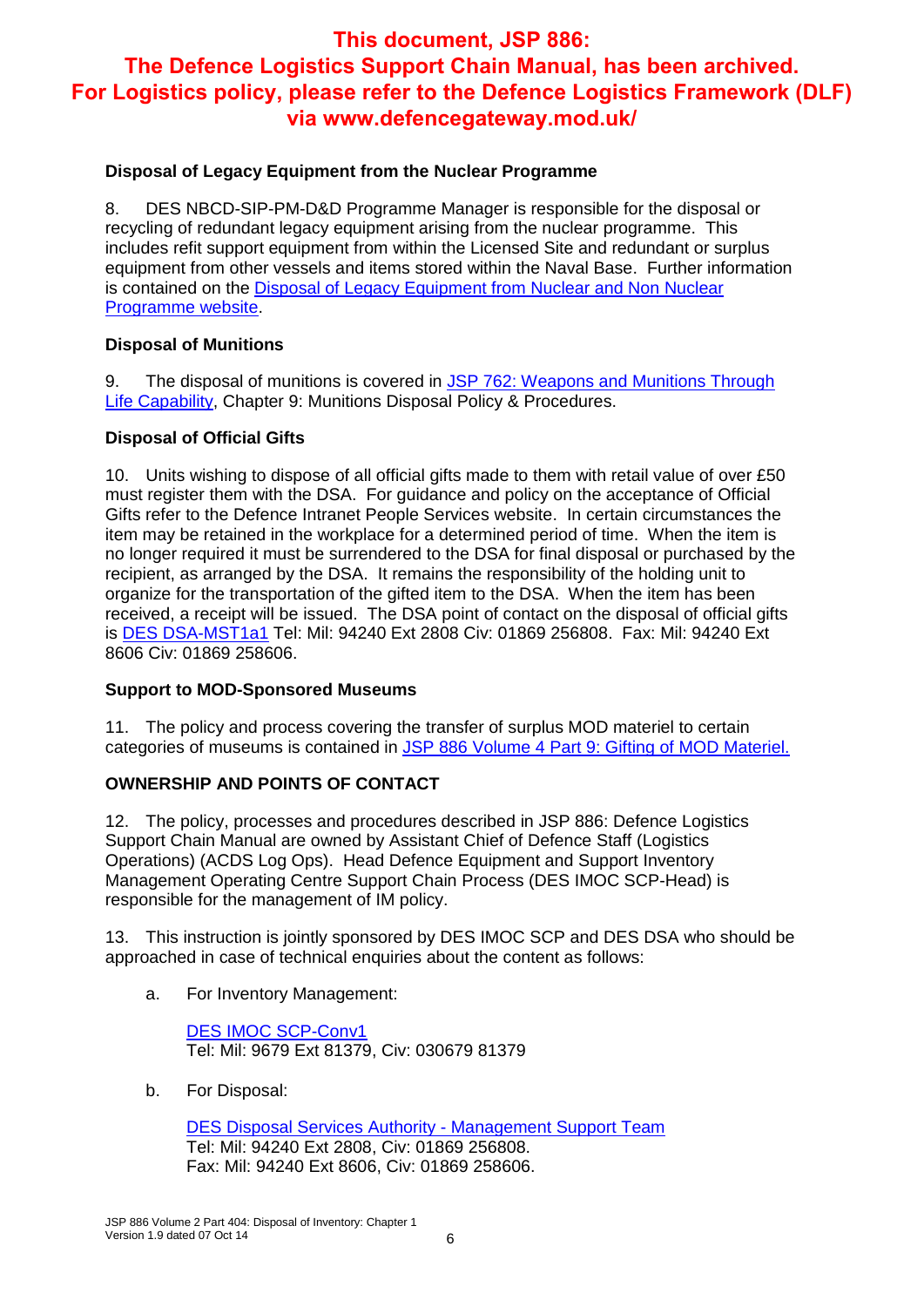#### **Disposal of Legacy Equipment from the Nuclear Programme**

8. DES NBCD-SIP-PM-D&D Programme Manager is responsible for the disposal or recycling of redundant legacy equipment arising from the nuclear programme. This includes refit support equipment from within the Licensed Site and redundant or surplus equipment from other vessels and items stored within the Naval Base. Further information is contained on the Disposal of Legacy Equipment from Nuclear and Non Nuclear Programme website.

#### **Disposal of Munitions**

9. The disposal of munitions is covered in JSP 762: Weapons and Munitions Through Life Capability, Chapter 9: Munitions Disposal Policy & Procedures.

#### **Disposal of Official Gifts**

10. Units wishing to dispose of all official gifts made to them with retail value of over £50 must register them with the DSA. For guidance and policy on the acceptance of Official Gifts refer to the Defence Intranet People Services website. In certain circumstances the item may be retained in the workplace for a determined period of time. When the item is no longer required it must be surrendered to the DSA for final disposal or purchased by the recipient, as arranged by the DSA. It remains the responsibility of the holding unit to organize for the transportation of the gifted item to the DSA. When the item has been received, a receipt will be issued. The DSA point of contact on the disposal of official gifts is DES DSA-MST1a1 Tel: Mil: 94240 Ext 2808 Civ: 01869 256808. Fax: Mil: 94240 Ext 8606 Civ: 01869 258606.

#### **Support to MOD-Sponsored Museums**

11. The policy and process covering the transfer of surplus MOD materiel to certain categories of museums is contained in JSP 886 Volume 4 Part 9: Gifting of MOD Materiel.

#### **OWNERSHIP AND POINTS OF CONTACT**

12. The policy, processes and procedures described in JSP 886: Defence Logistics Support Chain Manual are owned by Assistant Chief of Defence Staff (Logistics Operations) (ACDS Log Ops). Head Defence Equipment and Support Inventory Management Operating Centre Support Chain Process (DES IMOC SCP-Head) is responsible for the management of IM policy.

13. This instruction is jointly sponsored by DES IMOC SCP and DES DSA who should be approached in case of technical enquiries about the content as follows:

a. For Inventory Management:

DES IMOC SCP-Conv1 Tel: Mil: 9679 Ext 81379, Civ: 030679 81379

b. For Disposal:

DES Disposal Services Authority - Management Support Team Tel: Mil: 94240 Ext 2808, Civ: 01869 256808. Fax: Mil: 94240 Ext 8606, Civ: 01869 258606.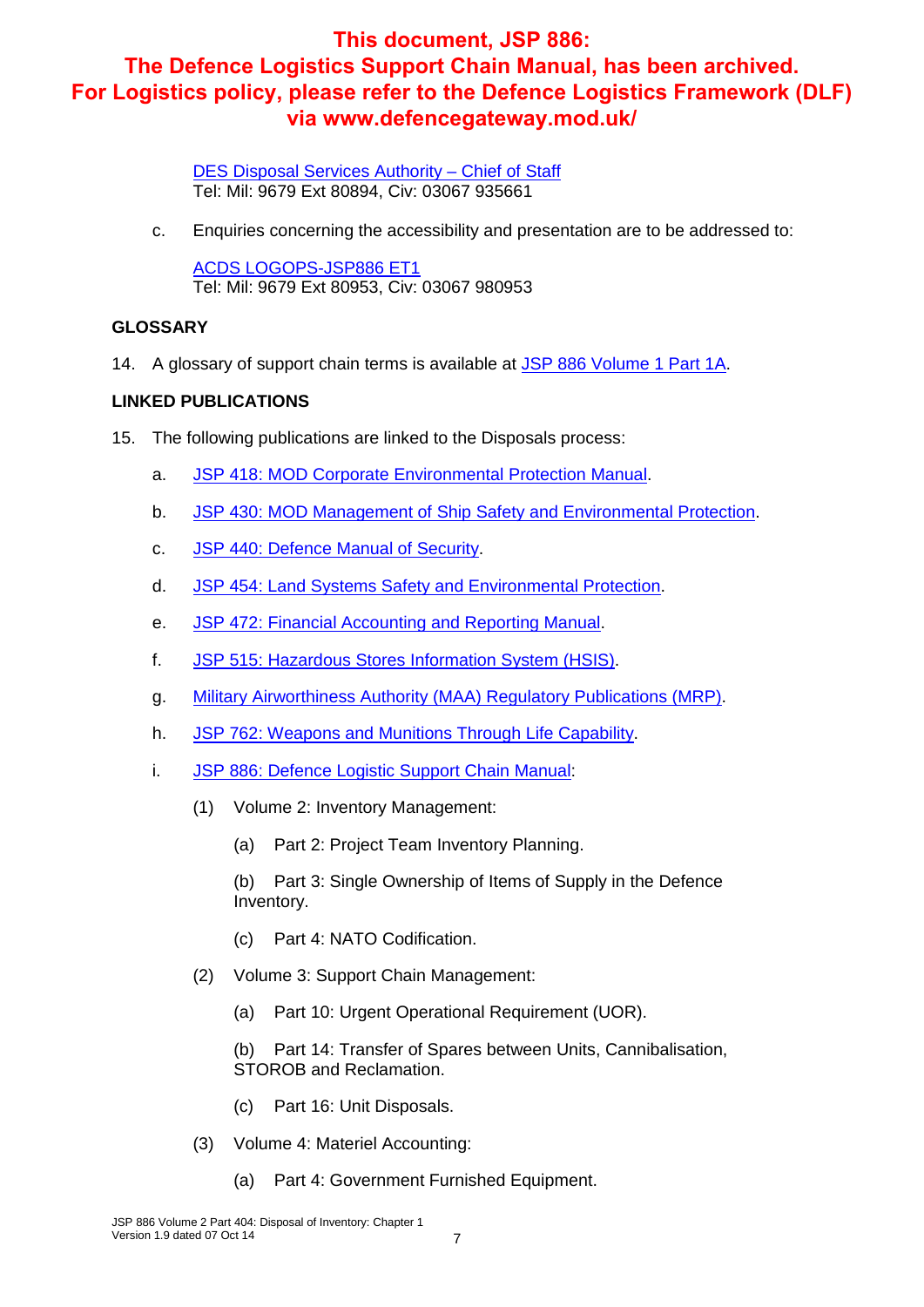DES Disposal Services Authority – Chief of Staff Tel: Mil: 9679 Ext 80894, Civ: 03067 935661

c. Enquiries concerning the accessibility and presentation are to be addressed to:

ACDS LOGOPS-JSP886 ET1 Tel: Mil: 9679 Ext 80953, Civ: 03067 980953

#### **GLOSSARY**

14. A glossary of support chain terms is available at JSP 886 Volume 1 Part 1A.

#### **LINKED PUBLICATIONS**

- 15. The following publications are linked to the Disposals process:
	- a. JSP 418: MOD Corporate Environmental Protection Manual.
	- b. JSP 430: MOD Management of Ship Safety and Environmental Protection.
	- c. JSP 440: Defence Manual of Security.
	- d. JSP 454: Land Systems Safety and Environmental Protection.
	- e. JSP 472: Financial Accounting and Reporting Manual.
	- f. JSP 515: Hazardous Stores Information System (HSIS).
	- g. Military Airworthiness Authority (MAA) Regulatory Publications (MRP).
	- h. JSP 762: Weapons and Munitions Through Life Capability.
	- i. JSP 886: Defence Logistic Support Chain Manual:
		- (1) Volume 2: Inventory Management:
			- (a) Part 2: Project Team Inventory Planning.
			- (b) Part 3: Single Ownership of Items of Supply in the Defence Inventory.
			- (c) Part 4: NATO Codification.
		- (2) Volume 3: Support Chain Management:
			- (a) Part 10: Urgent Operational Requirement (UOR).
			- (b) Part 14: Transfer of Spares between Units, Cannibalisation, STOROB and Reclamation.
			- (c) Part 16: Unit Disposals.
		- (3) Volume 4: Materiel Accounting:
			- (a) Part 4: Government Furnished Equipment.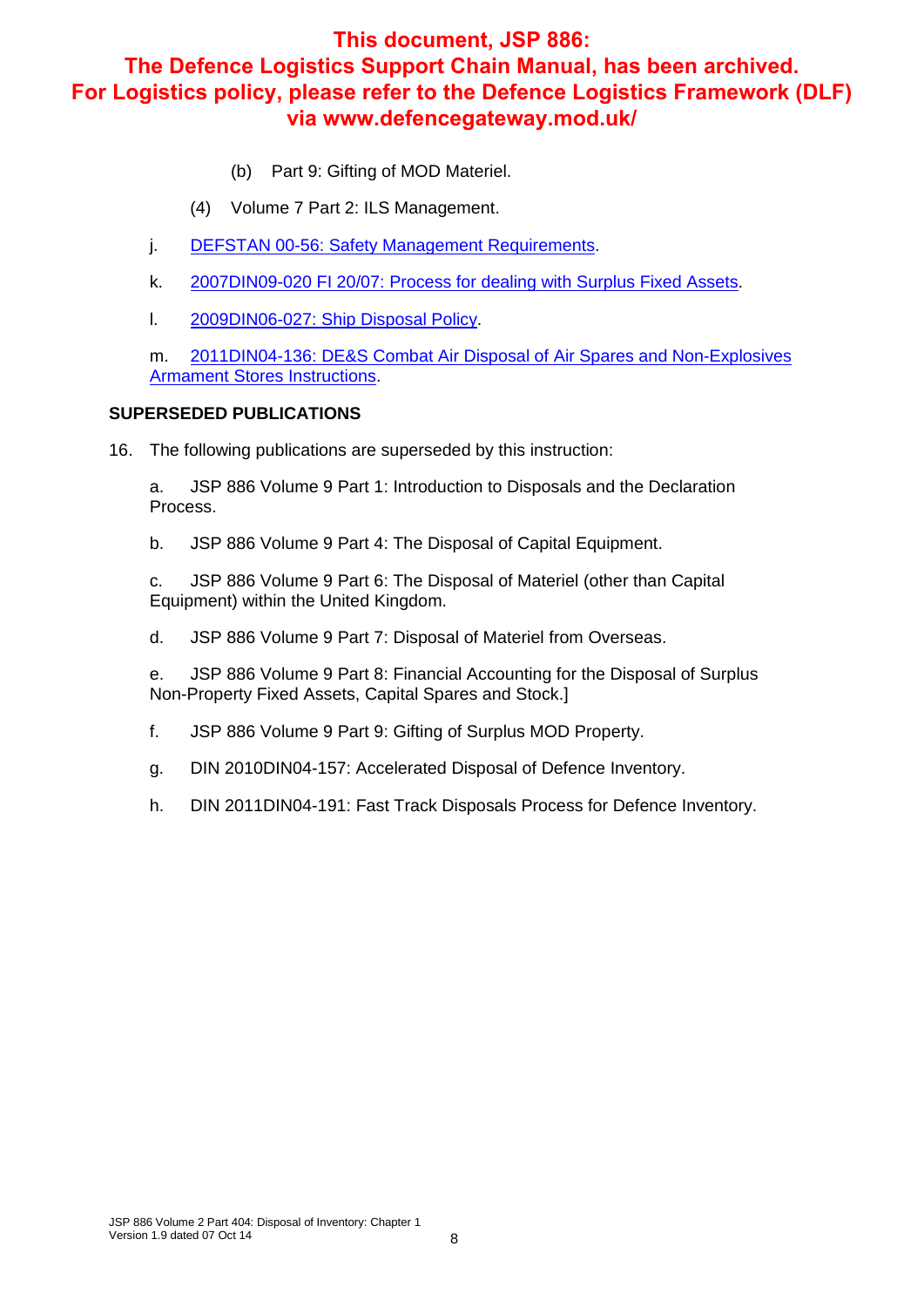- (b) Part 9: Gifting of MOD Materiel.
- (4) Volume 7 Part 2: ILS Management.
- j. DEFSTAN 00-56: Safety Management Requirements.
- k. 2007DIN09-020 FI 20/07: Process for dealing with Surplus Fixed Assets.
- l. 2009DIN06-027: Ship Disposal Policy.

m. 2011DIN04-136: DE&S Combat Air Disposal of Air Spares and Non-Explosives **Armament Stores Instructions.** 

#### **SUPERSEDED PUBLICATIONS**

16. The following publications are superseded by this instruction:

a. JSP 886 Volume 9 Part 1: Introduction to Disposals and the Declaration Process.

b. JSP 886 Volume 9 Part 4: The Disposal of Capital Equipment.

c. JSP 886 Volume 9 Part 6: The Disposal of Materiel (other than Capital Equipment) within the United Kingdom.

d. JSP 886 Volume 9 Part 7: Disposal of Materiel from Overseas.

e. JSP 886 Volume 9 Part 8: Financial Accounting for the Disposal of Surplus Non-Property Fixed Assets, Capital Spares and Stock.]

- f. JSP 886 Volume 9 Part 9: Gifting of Surplus MOD Property.
- g. DIN 2010DIN04-157: Accelerated Disposal of Defence Inventory.
- h. DIN 2011DIN04-191: Fast Track Disposals Process for Defence Inventory.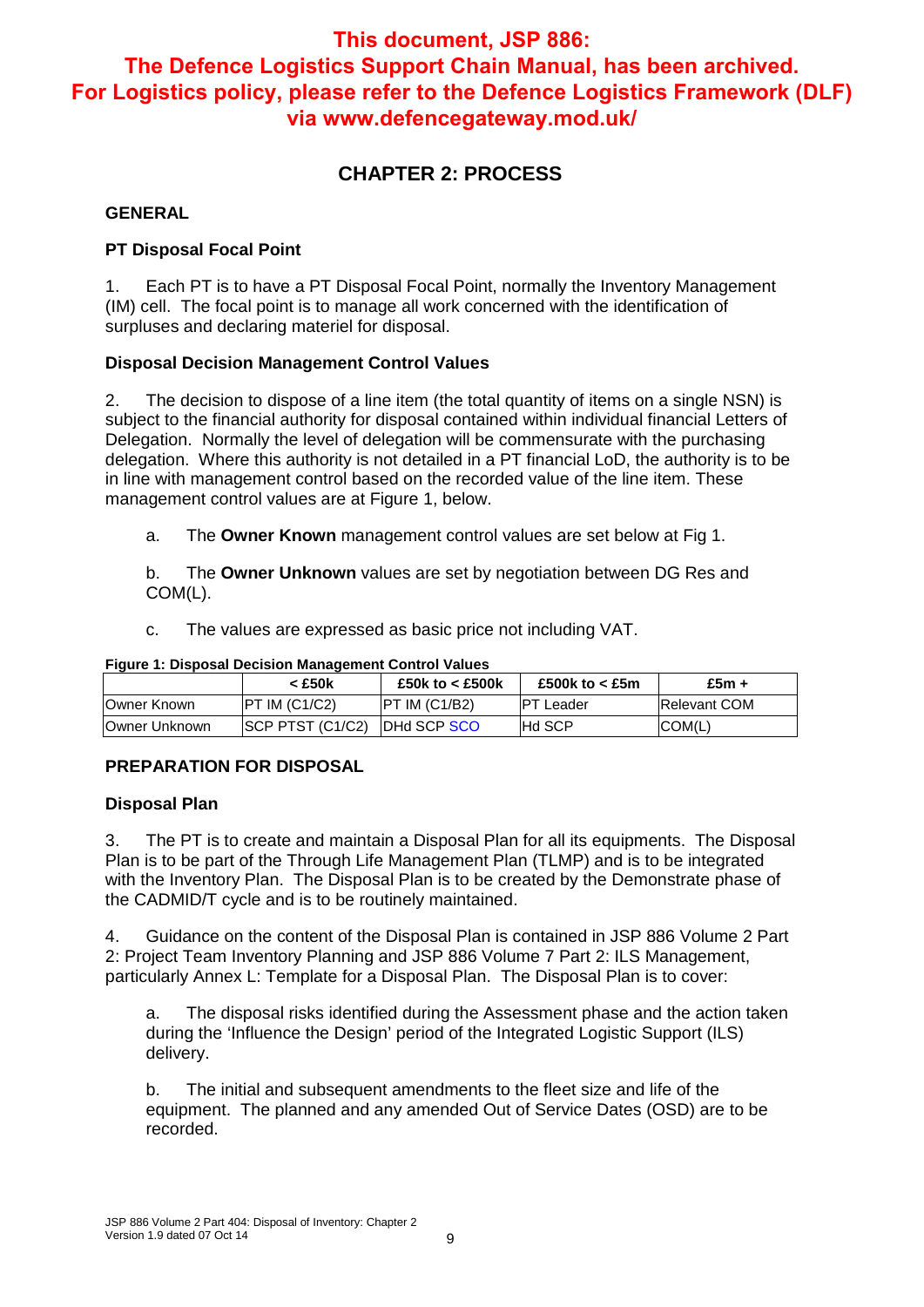## **CHAPTER 2: PROCESS**

#### **GENERAL**

#### **PT Disposal Focal Point**

1. Each PT is to have a PT Disposal Focal Point, normally the Inventory Management (IM) cell. The focal point is to manage all work concerned with the identification of surpluses and declaring materiel for disposal.

#### **Disposal Decision Management Control Values**

2. The decision to dispose of a line item (the total quantity of items on a single NSN) is subject to the financial authority for disposal contained within individual financial Letters of Delegation. Normally the level of delegation will be commensurate with the purchasing delegation. Where this authority is not detailed in a PT financial LoD, the authority is to be in line with management control based on the recorded value of the line item. These management control values are at Figure 1, below.

a. The **Owner Known** management control values are set below at Fig 1.

b. The **Owner Unknown** values are set by negotiation between DG Res and COM(L).

c. The values are expressed as basic price not including VAT.

| Figure 1. Disposal Decision Management Control Values |                               |                    |                       |                     |  |  |  |  |  |  |  |
|-------------------------------------------------------|-------------------------------|--------------------|-----------------------|---------------------|--|--|--|--|--|--|--|
|                                                       | < £50k                        | £50k to $<$ £500k  | £500k to $<$ £5m $\,$ | £5 $m +$            |  |  |  |  |  |  |  |
| Owner Known                                           | $IPT$ IM $(C1/C2)$            | $IPT$ IM $(C1/B2)$ | <b>PT Leader</b>      | <b>Relevant COM</b> |  |  |  |  |  |  |  |
| Owner Unknown                                         | SCP PTST (C1/C2) IDHd SCP SCO |                    | <b>Hd SCP</b>         | ICOM(L)             |  |  |  |  |  |  |  |

#### **Figure 1: Disposal Decision Management Control Values**

#### **PREPARATION FOR DISPOSAL**

#### **Disposal Plan**

3. The PT is to create and maintain a Disposal Plan for all its equipments. The Disposal Plan is to be part of the Through Life Management Plan (TLMP) and is to be integrated with the Inventory Plan. The Disposal Plan is to be created by the Demonstrate phase of the CADMID/T cycle and is to be routinely maintained.

4. Guidance on the content of the Disposal Plan is contained in JSP 886 Volume 2 Part 2: Project Team Inventory Planning and JSP 886 Volume 7 Part 2: ILS Management, particularly Annex L: Template for a Disposal Plan. The Disposal Plan is to cover:

a. The disposal risks identified during the Assessment phase and the action taken during the 'Influence the Design' period of the Integrated Logistic Support (ILS) delivery.

b. The initial and subsequent amendments to the fleet size and life of the equipment. The planned and any amended Out of Service Dates (OSD) are to be recorded.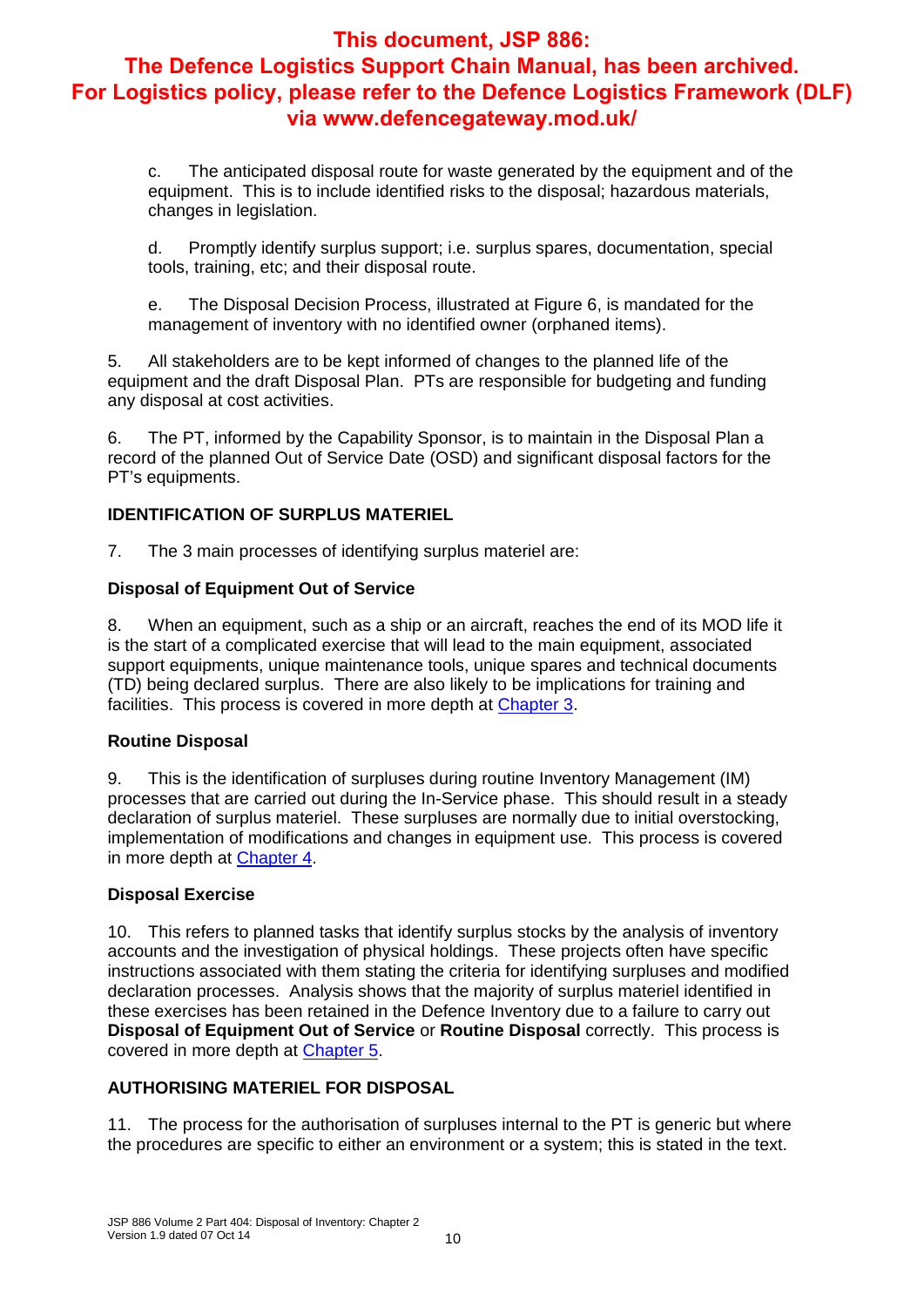c. The anticipated disposal route for waste generated by the equipment and of the equipment. This is to include identified risks to the disposal; hazardous materials, changes in legislation.

d. Promptly identify surplus support; i.e. surplus spares, documentation, special tools, training, etc; and their disposal route.

e. The Disposal Decision Process, illustrated at Figure 6, is mandated for the management of inventory with no identified owner (orphaned items).

5. All stakeholders are to be kept informed of changes to the planned life of the equipment and the draft Disposal Plan. PTs are responsible for budgeting and funding any disposal at cost activities.

6. The PT, informed by the Capability Sponsor, is to maintain in the Disposal Plan a record of the planned Out of Service Date (OSD) and significant disposal factors for the PT's equipments.

#### **IDENTIFICATION OF SURPLUS MATERIEL**

7. The 3 main processes of identifying surplus materiel are:

#### **Disposal of Equipment Out of Service**

8. When an equipment, such as a ship or an aircraft, reaches the end of its MOD life it is the start of a complicated exercise that will lead to the main equipment, associated support equipments, unique maintenance tools, unique spares and technical documents (TD) being declared surplus. There are also likely to be implications for training and facilities. This process is covered in more depth at Chapter 3.

#### **Routine Disposal**

9. This is the identification of surpluses during routine Inventory Management (IM) processes that are carried out during the In-Service phase. This should result in a steady declaration of surplus materiel. These surpluses are normally due to initial overstocking, implementation of modifications and changes in equipment use. This process is covered in more depth at Chapter 4.

#### **Disposal Exercise**

10. This refers to planned tasks that identify surplus stocks by the analysis of inventory accounts and the investigation of physical holdings. These projects often have specific instructions associated with them stating the criteria for identifying surpluses and modified declaration processes. Analysis shows that the majority of surplus materiel identified in these exercises has been retained in the Defence Inventory due to a failure to carry out **Disposal of Equipment Out of Service** or **Routine Disposal** correctly. This process is covered in more depth at Chapter 5.

#### **AUTHORISING MATERIEL FOR DISPOSAL**

11. The process for the authorisation of surpluses internal to the PT is generic but where the procedures are specific to either an environment or a system; this is stated in the text.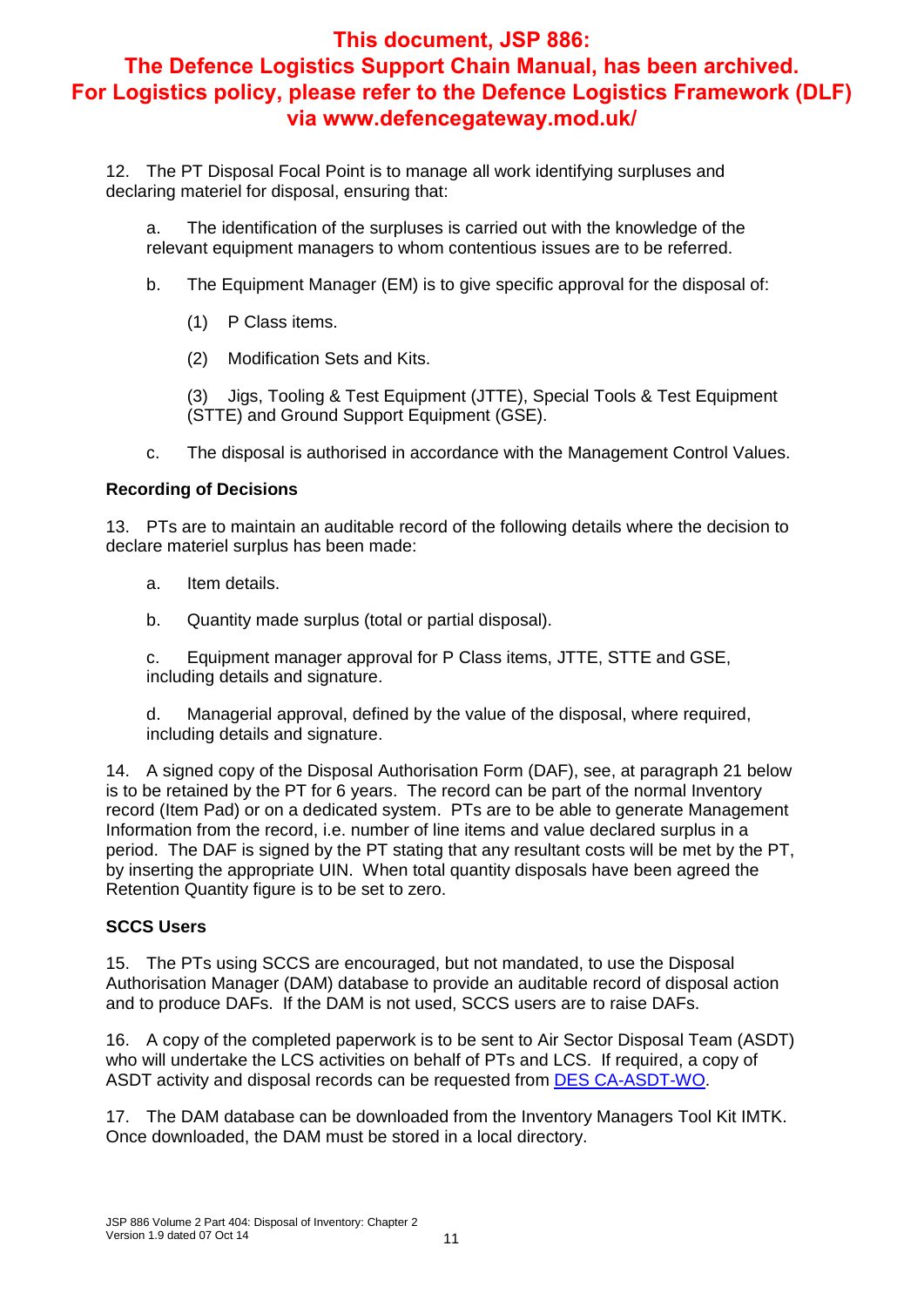12. The PT Disposal Focal Point is to manage all work identifying surpluses and declaring materiel for disposal, ensuring that:

a. The identification of the surpluses is carried out with the knowledge of the relevant equipment managers to whom contentious issues are to be referred.

- b. The Equipment Manager (EM) is to give specific approval for the disposal of:
	- (1) P Class items.
	- (2) Modification Sets and Kits.

(3) Jigs, Tooling & Test Equipment (JTTE), Special Tools & Test Equipment (STTE) and Ground Support Equipment (GSE).

c. The disposal is authorised in accordance with the Management Control Values.

#### **Recording of Decisions**

13. PTs are to maintain an auditable record of the following details where the decision to declare materiel surplus has been made:

- a. Item details.
- b. Quantity made surplus (total or partial disposal).

c. Equipment manager approval for P Class items, JTTE, STTE and GSE, including details and signature.

d. Managerial approval, defined by the value of the disposal, where required, including details and signature.

14. A signed copy of the Disposal Authorisation Form (DAF), see, at paragraph 21 below is to be retained by the PT for 6 years. The record can be part of the normal Inventory record (Item Pad) or on a dedicated system. PTs are to be able to generate Management Information from the record, i.e. number of line items and value declared surplus in a period. The DAF is signed by the PT stating that any resultant costs will be met by the PT, by inserting the appropriate UIN. When total quantity disposals have been agreed the Retention Quantity figure is to be set to zero.

#### **SCCS Users**

15. The PTs using SCCS are encouraged, but not mandated, to use the Disposal Authorisation Manager (DAM) database to provide an auditable record of disposal action and to produce DAFs. If the DAM is not used, SCCS users are to raise DAFs.

16. A copy of the completed paperwork is to be sent to Air Sector Disposal Team (ASDT) who will undertake the LCS activities on behalf of PTs and LCS. If required, a copy of ASDT activity and disposal records can be requested from DES CA-ASDT-WO.

17. The DAM database can be downloaded from the Inventory Managers Tool Kit IMTK. Once downloaded, the DAM must be stored in a local directory.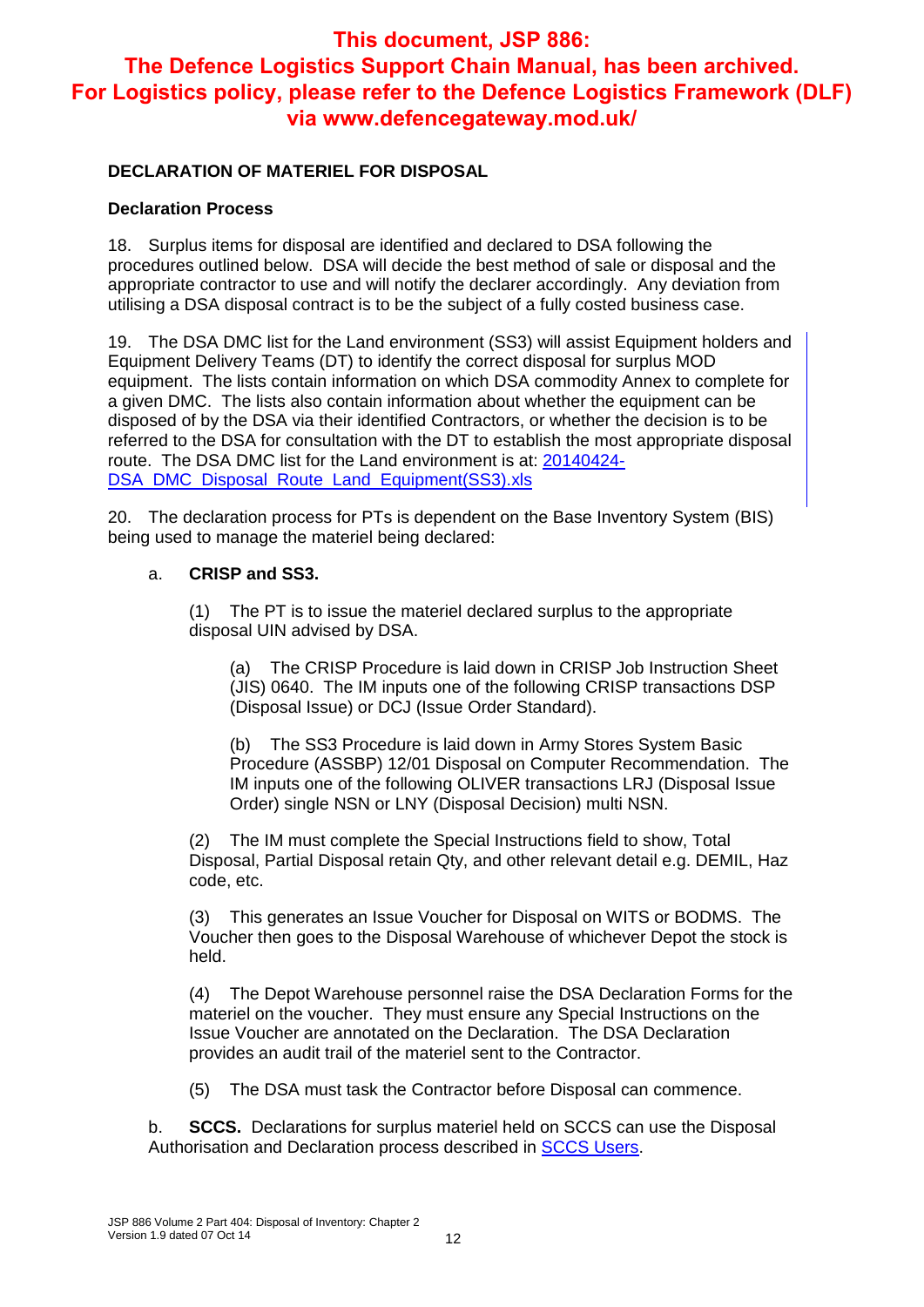#### **DECLARATION OF MATERIEL FOR DISPOSAL**

#### **Declaration Process**

18. Surplus items for disposal are identified and declared to DSA following the procedures outlined below. DSA will decide the best method of sale or disposal and the appropriate contractor to use and will notify the declarer accordingly. Any deviation from utilising a DSA disposal contract is to be the subject of a fully costed business case.

19. The DSA DMC list for the Land environment (SS3) will assist Equipment holders and Equipment Delivery Teams (DT) to identify the correct disposal for surplus MOD equipment. The lists contain information on which DSA commodity Annex to complete for a given DMC. The lists also contain information about whether the equipment can be disposed of by the DSA via their identified Contractors, or whether the decision is to be referred to the DSA for consultation with the DT to establish the most appropriate disposal route. The DSA DMC list for the Land environment is at: 20140424- DSA DMC Disposal Route Land Equipment(SS3).xls

20. The declaration process for PTs is dependent on the Base Inventory System (BIS) being used to manage the materiel being declared:

#### a. **CRISP and SS3.**

(1) The PT is to issue the materiel declared surplus to the appropriate disposal UIN advised by DSA.

(a) The CRISP Procedure is laid down in CRISP Job Instruction Sheet (JIS) 0640. The IM inputs one of the following CRISP transactions DSP (Disposal Issue) or DCJ (Issue Order Standard).

(b) The SS3 Procedure is laid down in Army Stores System Basic Procedure (ASSBP) 12/01 Disposal on Computer Recommendation. The IM inputs one of the following OLIVER transactions LRJ (Disposal Issue Order) single NSN or LNY (Disposal Decision) multi NSN.

The IM must complete the Special Instructions field to show, Total Disposal, Partial Disposal retain Qty, and other relevant detail e.g. DEMIL, Haz code, etc.

(3) This generates an Issue Voucher for Disposal on WITS or BODMS. The Voucher then goes to the Disposal Warehouse of whichever Depot the stock is held.

(4) The Depot Warehouse personnel raise the DSA Declaration Forms for the materiel on the voucher. They must ensure any Special Instructions on the Issue Voucher are annotated on the Declaration. The DSA Declaration provides an audit trail of the materiel sent to the Contractor.

(5) The DSA must task the Contractor before Disposal can commence.

b. **SCCS.** Declarations for surplus materiel held on SCCS can use the Disposal Authorisation and Declaration process described in SCCS Users.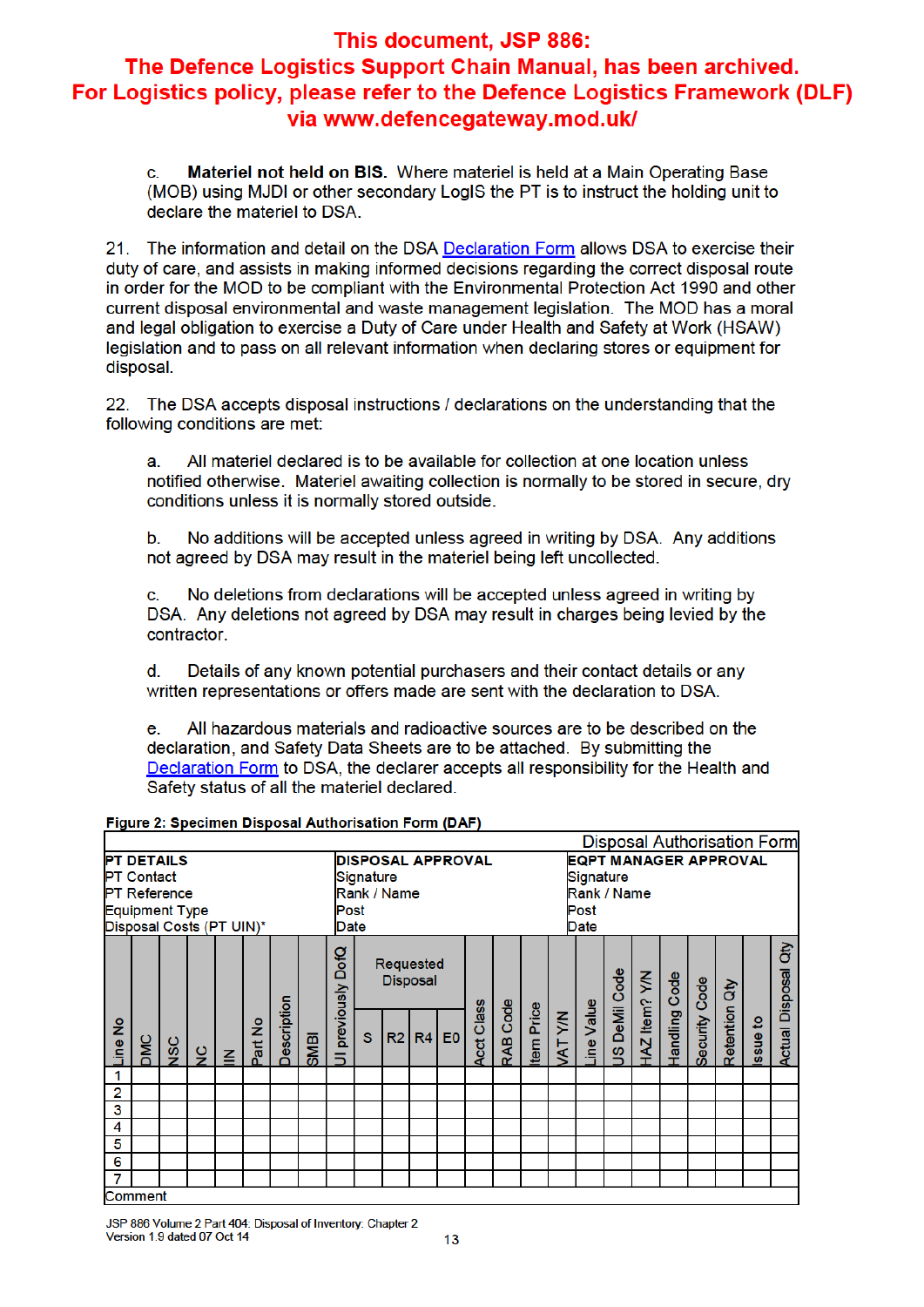Materiel not held on BIS. Where materiel is held at a Main Operating Base c. (MOB) using MJDI or other secondary LogIS the PT is to instruct the holding unit to declare the materiel to DSA.

21. The information and detail on the DSA Declaration Form allows DSA to exercise their duty of care, and assists in making informed decisions regarding the correct disposal route in order for the MOD to be compliant with the Environmental Protection Act 1990 and other current disposal environmental and waste management legislation. The MOD has a moral and legal obligation to exercise a Duty of Care under Health and Safety at Work (HSAW) legislation and to pass on all relevant information when declaring stores or equipment for disposal.

22. The DSA accepts disposal instructions / declarations on the understanding that the following conditions are met:

All materiel declared is to be available for collection at one location unless a notified otherwise. Materiel awaiting collection is normally to be stored in secure, dry conditions unless it is normally stored outside.

No additions will be accepted unless agreed in writing by DSA. Any additions  $\mathbf b$ . not agreed by DSA may result in the materiel being left uncollected.

No deletions from declarations will be accepted unless agreed in writing by  $\mathbf{c}$ . DSA. Any deletions not agreed by DSA may result in charges being levied by the contractor.

d. Details of any known potential purchasers and their contact details or any written representations or offers made are sent with the declaration to DSA.

All hazardous materials and radioactive sources are to be described on the e declaration, and Safety Data Sheets are to be attached. By submitting the Declaration Form to DSA, the declarer accepts all responsibility for the Health and Safety status of all the materiel declared.

| <b>PT DETAILS</b><br><b>PT Contact</b><br><b>PT Reference</b><br><b>Equipment Type</b><br>Disposal Costs (PT UIN)* |         |            |               | Post<br>Date | Signature | <b>Disposal Authorisation Form</b><br><b>EQPT MANAGER APPROVAL</b><br><b>DISPOSAL APPROVAL</b><br>Signature<br>Rank / Name<br>Rank / Name<br>Post<br>Date |              |                    |              |    |                             |                |                   |          |           |                                                                           |  |               |  |               |               |          |                                         |  |
|--------------------------------------------------------------------------------------------------------------------|---------|------------|---------------|--------------|-----------|-----------------------------------------------------------------------------------------------------------------------------------------------------------|--------------|--------------------|--------------|----|-----------------------------|----------------|-------------------|----------|-----------|---------------------------------------------------------------------------|--|---------------|--|---------------|---------------|----------|-----------------------------------------|--|
| Line No                                                                                                            |         |            |               |              | Part No   | Description                                                                                                                                               | <b>IBINS</b> | DofQ<br>previously | $\mathbf{s}$ | R2 | Requested<br>Disposal<br>R4 | E <sub>0</sub> | <b>Acct Class</b> | RAB Code | tem Price | DeMil Code<br>HAZ Item? Y/N<br>Handling Code<br>ine Value<br><b>WATYM</b> |  |               |  | Security Code | Retention Qty | Issue to | ਰੇਂ<br><b>Disposal</b><br><b>Actual</b> |  |
|                                                                                                                    | DMC     | <b>NSC</b> | $\frac{1}{2}$ | $\leq$       |           |                                                                                                                                                           |              |                    |              |    |                             |                |                   |          |           |                                                                           |  | $\frac{8}{2}$ |  |               |               |          |                                         |  |
| 1<br>2                                                                                                             |         |            |               |              |           |                                                                                                                                                           |              |                    |              |    |                             |                |                   |          |           |                                                                           |  |               |  |               |               |          |                                         |  |
| 3                                                                                                                  |         |            |               |              |           |                                                                                                                                                           |              |                    |              |    |                             |                |                   |          |           |                                                                           |  |               |  |               |               |          |                                         |  |
| 4                                                                                                                  |         |            |               |              |           |                                                                                                                                                           |              |                    |              |    |                             |                |                   |          |           |                                                                           |  |               |  |               |               |          |                                         |  |
| 5                                                                                                                  |         |            |               |              |           |                                                                                                                                                           |              |                    |              |    |                             |                |                   |          |           |                                                                           |  |               |  |               |               |          |                                         |  |
| 6                                                                                                                  |         |            |               |              |           |                                                                                                                                                           |              |                    |              |    |                             |                |                   |          |           |                                                                           |  |               |  |               |               |          |                                         |  |
| 7                                                                                                                  |         |            |               |              |           |                                                                                                                                                           |              |                    |              |    |                             |                |                   |          |           |                                                                           |  |               |  |               |               |          |                                         |  |
|                                                                                                                    | Comment |            |               |              |           |                                                                                                                                                           |              |                    |              |    |                             |                |                   |          |           |                                                                           |  |               |  |               |               |          |                                         |  |

Figure 2: Specimen Disposal Authorisation Form (DAF)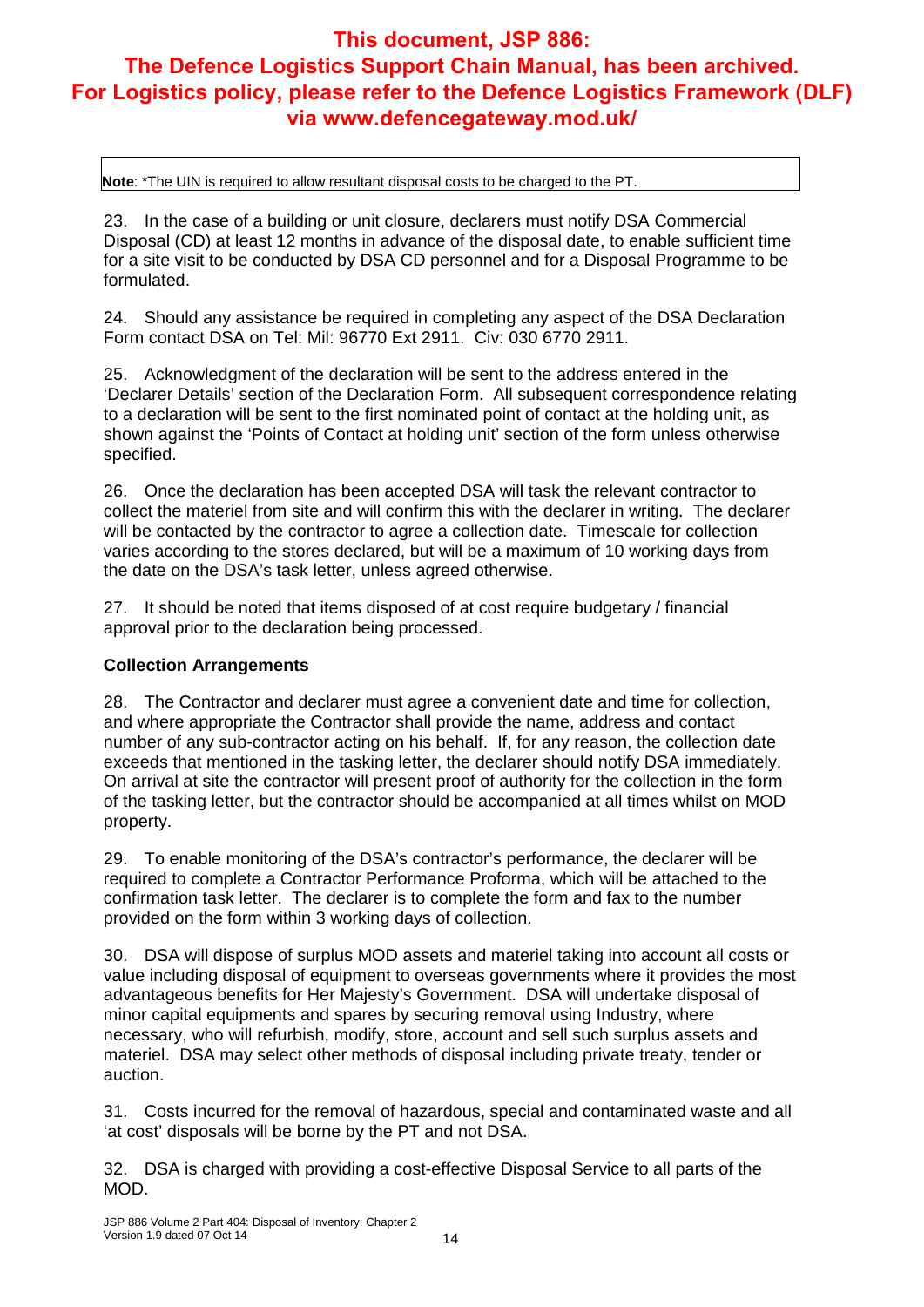**Note**: \*The UIN is required to allow resultant disposal costs to be charged to the PT.

23. In the case of a building or unit closure, declarers must notify DSA Commercial Disposal (CD) at least 12 months in advance of the disposal date, to enable sufficient time for a site visit to be conducted by DSA CD personnel and for a Disposal Programme to be formulated.

24. Should any assistance be required in completing any aspect of the DSA Declaration Form contact DSA on Tel: Mil: 96770 Ext 2911. Civ: 030 6770 2911.

25. Acknowledgment of the declaration will be sent to the address entered in the 'Declarer Details' section of the Declaration Form. All subsequent correspondence relating to a declaration will be sent to the first nominated point of contact at the holding unit, as shown against the 'Points of Contact at holding unit' section of the form unless otherwise specified.

26. Once the declaration has been accepted DSA will task the relevant contractor to collect the materiel from site and will confirm this with the declarer in writing. The declarer will be contacted by the contractor to agree a collection date. Timescale for collection varies according to the stores declared, but will be a maximum of 10 working days from the date on the DSA's task letter, unless agreed otherwise.

27. It should be noted that items disposed of at cost require budgetary / financial approval prior to the declaration being processed.

#### **Collection Arrangements**

28. The Contractor and declarer must agree a convenient date and time for collection, and where appropriate the Contractor shall provide the name, address and contact number of any sub-contractor acting on his behalf. If, for any reason, the collection date exceeds that mentioned in the tasking letter, the declarer should notify DSA immediately. On arrival at site the contractor will present proof of authority for the collection in the form of the tasking letter, but the contractor should be accompanied at all times whilst on MOD property.

29. To enable monitoring of the DSA's contractor's performance, the declarer will be required to complete a Contractor Performance Proforma, which will be attached to the confirmation task letter. The declarer is to complete the form and fax to the number provided on the form within 3 working days of collection.

30. DSA will dispose of surplus MOD assets and materiel taking into account all costs or value including disposal of equipment to overseas governments where it provides the most advantageous benefits for Her Majesty's Government. DSA will undertake disposal of minor capital equipments and spares by securing removal using Industry, where necessary, who will refurbish, modify, store, account and sell such surplus assets and materiel. DSA may select other methods of disposal including private treaty, tender or auction.

31. Costs incurred for the removal of hazardous, special and contaminated waste and all 'at cost' disposals will be borne by the PT and not DSA.

32. DSA is charged with providing a cost-effective Disposal Service to all parts of the MOD.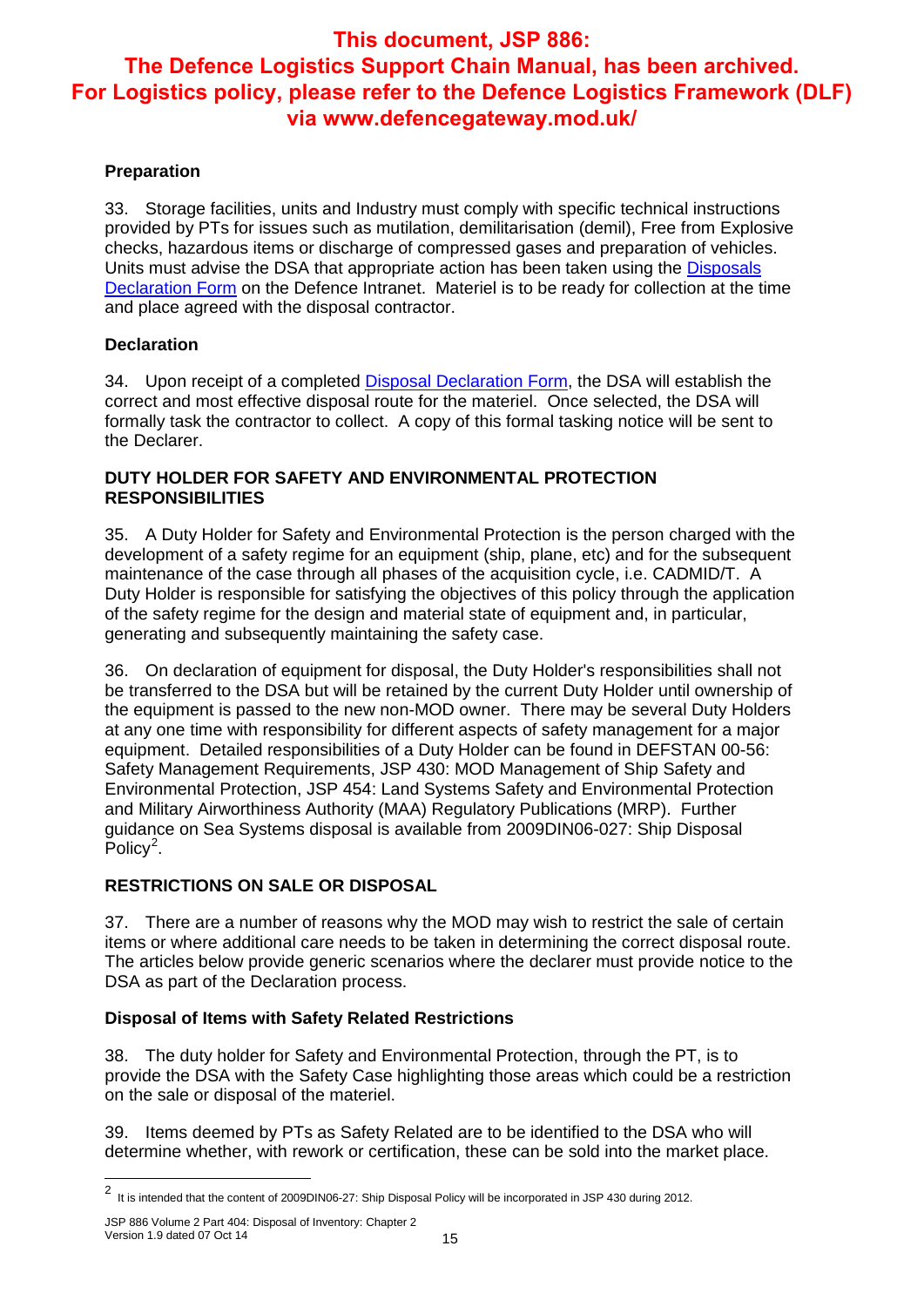#### **Preparation**

33. Storage facilities, units and Industry must comply with specific technical instructions provided by PTs for issues such as mutilation, demilitarisation (demil), Free from Explosive checks, hazardous items or discharge of compressed gases and preparation of vehicles. Units must advise the DSA that appropriate action has been taken using the Disposals Declaration Form on the Defence Intranet. Materiel is to be ready for collection at the time and place agreed with the disposal contractor.

#### **Declaration**

34. Upon receipt of a completed Disposal Declaration Form, the DSA will establish the correct and most effective disposal route for the materiel. Once selected, the DSA will formally task the contractor to collect. A copy of this formal tasking notice will be sent to the Declarer.

#### **DUTY HOLDER FOR SAFETY AND ENVIRONMENTAL PROTECTION RESPONSIBILITIES**

35. A Duty Holder for Safety and Environmental Protection is the person charged with the development of a safety regime for an equipment (ship, plane, etc) and for the subsequent maintenance of the case through all phases of the acquisition cycle, i.e. CADMID/T. A Duty Holder is responsible for satisfying the objectives of this policy through the application of the safety regime for the design and material state of equipment and, in particular, generating and subsequently maintaining the safety case.

36. On declaration of equipment for disposal, the Duty Holder's responsibilities shall not be transferred to the DSA but will be retained by the current Duty Holder until ownership of the equipment is passed to the new non-MOD owner. There may be several Duty Holders at any one time with responsibility for different aspects of safety management for a major equipment. Detailed responsibilities of a Duty Holder can be found in DEFSTAN 00-56: Safety Management Requirements, JSP 430: MOD Management of Ship Safety and Environmental Protection, JSP 454: Land Systems Safety and Environmental Protection and Military Airworthiness Authority (MAA) Regulatory Publications (MRP). Further guidance on Sea Systems disposal is available from 2009DIN06-027: Ship Disposal Policy<sup>2</sup>.

#### **RESTRICTIONS ON SALE OR DISPOSAL**

37. There are a number of reasons why the MOD may wish to restrict the sale of certain items or where additional care needs to be taken in determining the correct disposal route. The articles below provide generic scenarios where the declarer must provide notice to the DSA as part of the Declaration process.

#### **Disposal of Items with Safety Related Restrictions**

38. The duty holder for Safety and Environmental Protection, through the PT, is to provide the DSA with the Safety Case highlighting those areas which could be a restriction on the sale or disposal of the materiel.

39. Items deemed by PTs as Safety Related are to be identified to the DSA who will determine whether, with rework or certification, these can be sold into the market place.

 2 It is intended that the content of 2009DIN06-27: Ship Disposal Policy will be incorporated in JSP 430 during 2012.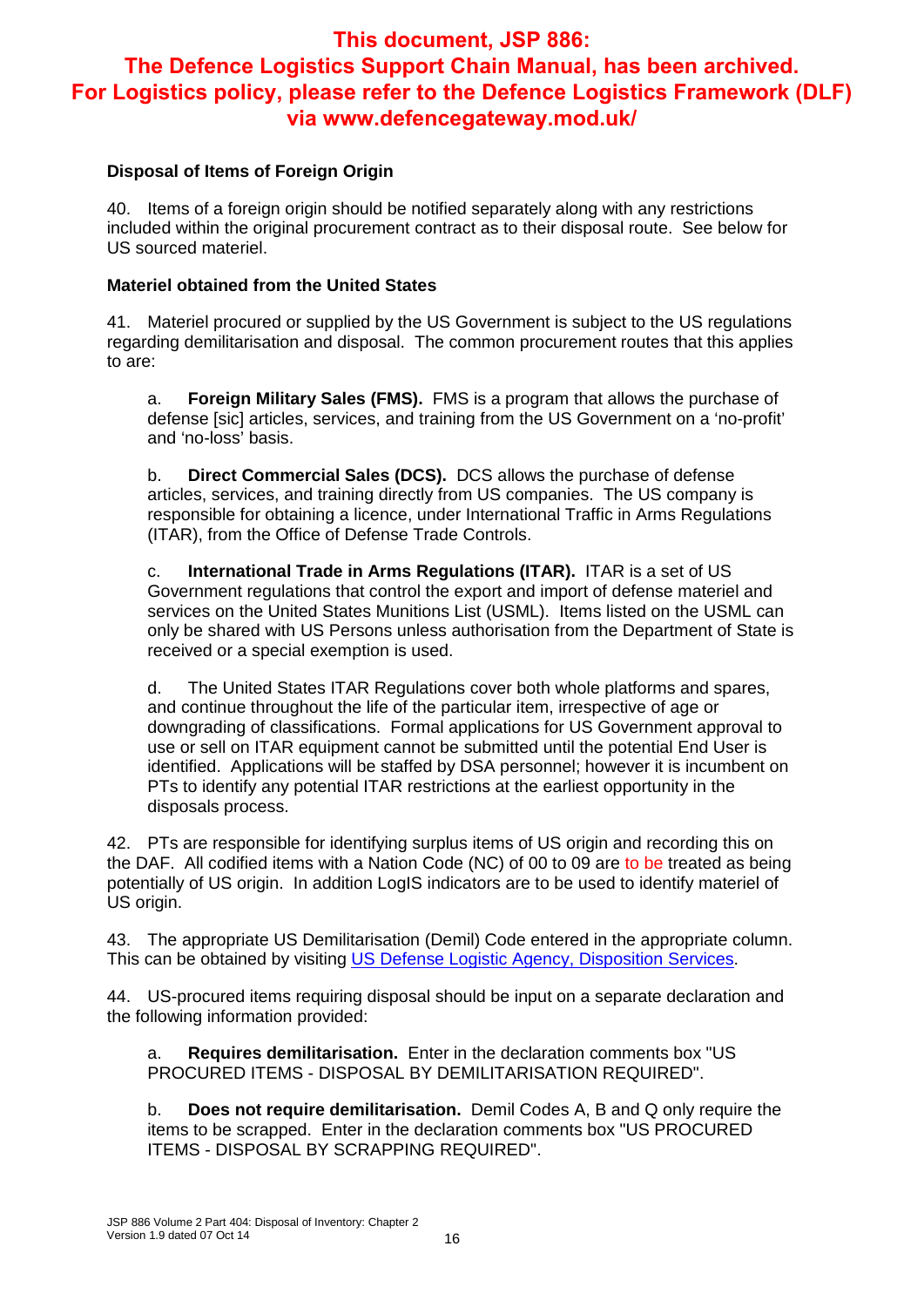#### **Disposal of Items of Foreign Origin**

40. Items of a foreign origin should be notified separately along with any restrictions included within the original procurement contract as to their disposal route. See below for US sourced materiel.

#### **Materiel obtained from the United States**

41. Materiel procured or supplied by the US Government is subject to the US regulations regarding demilitarisation and disposal. The common procurement routes that this applies to are:

a. **Foreign Military Sales (FMS).** FMS is a program that allows the purchase of defense [sic] articles, services, and training from the US Government on a 'no-profit' and 'no-loss' basis.

b. **Direct Commercial Sales (DCS).** DCS allows the purchase of defense articles, services, and training directly from US companies. The US company is responsible for obtaining a licence, under International Traffic in Arms Regulations (ITAR), from the Office of Defense Trade Controls.

c. **International Trade in Arms Regulations (ITAR).** ITAR is a set of US Government regulations that control the export and import of defense materiel and services on the United States Munitions List (USML). Items listed on the USML can only be shared with US Persons unless authorisation from the Department of State is received or a special exemption is used.

d. The United States ITAR Regulations cover both whole platforms and spares, and continue throughout the life of the particular item, irrespective of age or downgrading of classifications. Formal applications for US Government approval to use or sell on ITAR equipment cannot be submitted until the potential End User is identified. Applications will be staffed by DSA personnel; however it is incumbent on PTs to identify any potential ITAR restrictions at the earliest opportunity in the disposals process.

42. PTs are responsible for identifying surplus items of US origin and recording this on the DAF. All codified items with a Nation Code (NC) of 00 to 09 are to be treated as being potentially of US origin. In addition LogIS indicators are to be used to identify materiel of US origin.

43. The appropriate US Demilitarisation (Demil) Code entered in the appropriate column. This can be obtained by visiting US Defense Logistic Agency, Disposition Services.

44. US-procured items requiring disposal should be input on a separate declaration and the following information provided:

a. **Requires demilitarisation.** Enter in the declaration comments box "US PROCURED ITEMS - DISPOSAL BY DEMILITARISATION REQUIRED".

b. **Does not require demilitarisation.** Demil Codes A, B and Q only require the items to be scrapped. Enter in the declaration comments box "US PROCURED ITEMS - DISPOSAL BY SCRAPPING REQUIRED".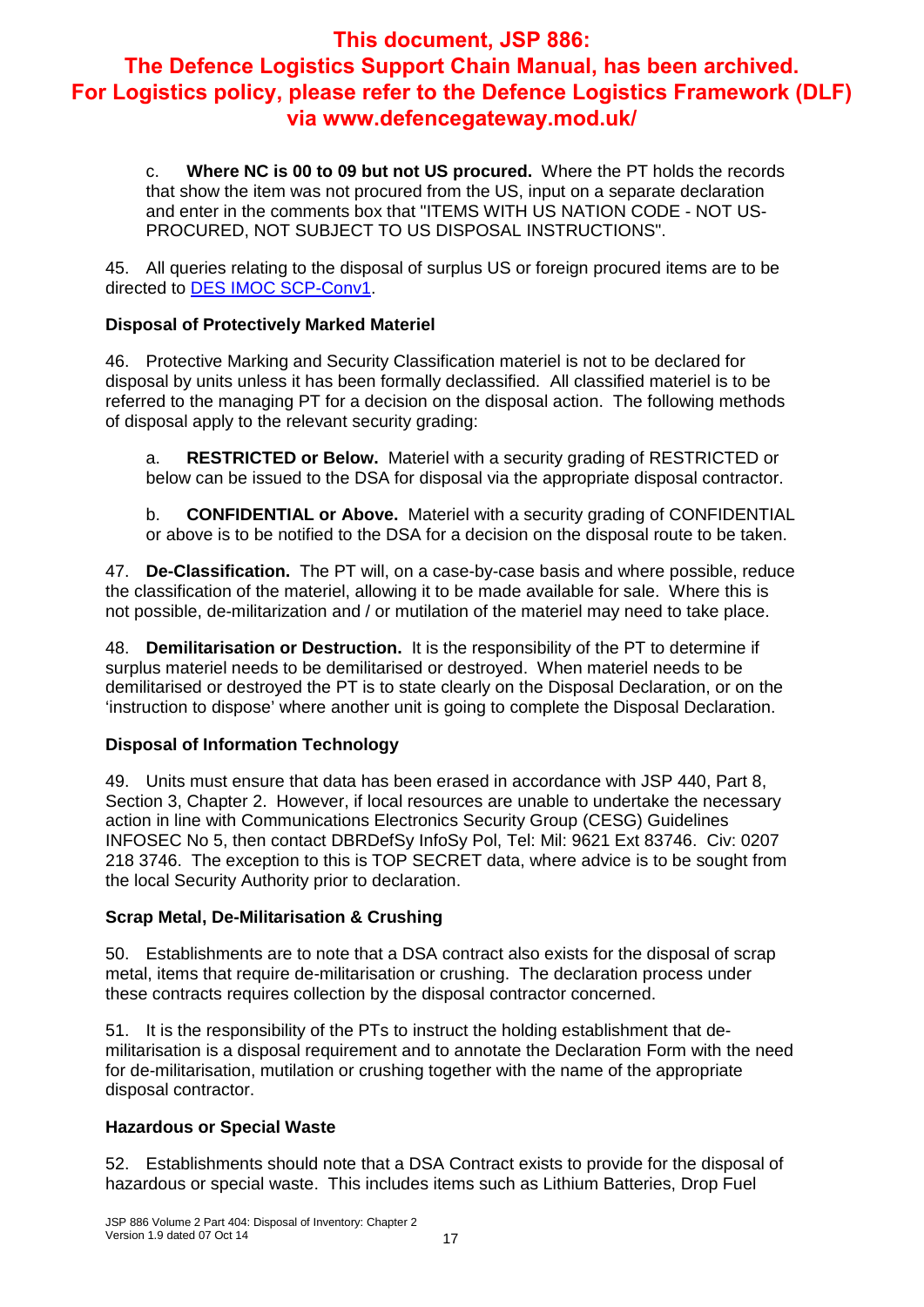c. **Where NC is 00 to 09 but not US procured.** Where the PT holds the records that show the item was not procured from the US, input on a separate declaration and enter in the comments box that "ITEMS WITH US NATION CODE - NOT US-PROCURED, NOT SUBJECT TO US DISPOSAL INSTRUCTIONS".

45. All queries relating to the disposal of surplus US or foreign procured items are to be directed to DES IMOC SCP-Conv1.

#### **Disposal of Protectively Marked Materiel**

46. Protective Marking and Security Classification materiel is not to be declared for disposal by units unless it has been formally declassified. All classified materiel is to be referred to the managing PT for a decision on the disposal action. The following methods of disposal apply to the relevant security grading:

a. **RESTRICTED or Below.** Materiel with a security grading of RESTRICTED or below can be issued to the DSA for disposal via the appropriate disposal contractor.

b. **CONFIDENTIAL or Above.** Materiel with a security grading of CONFIDENTIAL or above is to be notified to the DSA for a decision on the disposal route to be taken.

47. **De-Classification.** The PT will, on a case-by-case basis and where possible, reduce the classification of the materiel, allowing it to be made available for sale. Where this is not possible, de-militarization and / or mutilation of the materiel may need to take place.

48. **Demilitarisation or Destruction.** It is the responsibility of the PT to determine if surplus materiel needs to be demilitarised or destroyed. When materiel needs to be demilitarised or destroyed the PT is to state clearly on the Disposal Declaration, or on the 'instruction to dispose' where another unit is going to complete the Disposal Declaration.

#### **Disposal of Information Technology**

49. Units must ensure that data has been erased in accordance with JSP 440, Part 8, Section 3, Chapter 2. However, if local resources are unable to undertake the necessary action in line with Communications Electronics Security Group (CESG) Guidelines INFOSEC No 5, then contact DBRDefSy InfoSy Pol, Tel: Mil: 9621 Ext 83746. Civ: 0207 218 3746. The exception to this is TOP SECRET data, where advice is to be sought from the local Security Authority prior to declaration.

#### **Scrap Metal, De-Militarisation & Crushing**

50. Establishments are to note that a DSA contract also exists for the disposal of scrap metal, items that require de-militarisation or crushing. The declaration process under these contracts requires collection by the disposal contractor concerned.

51. It is the responsibility of the PTs to instruct the holding establishment that demilitarisation is a disposal requirement and to annotate the Declaration Form with the need for de-militarisation, mutilation or crushing together with the name of the appropriate disposal contractor.

#### **Hazardous or Special Waste**

52. Establishments should note that a DSA Contract exists to provide for the disposal of hazardous or special waste. This includes items such as Lithium Batteries, Drop Fuel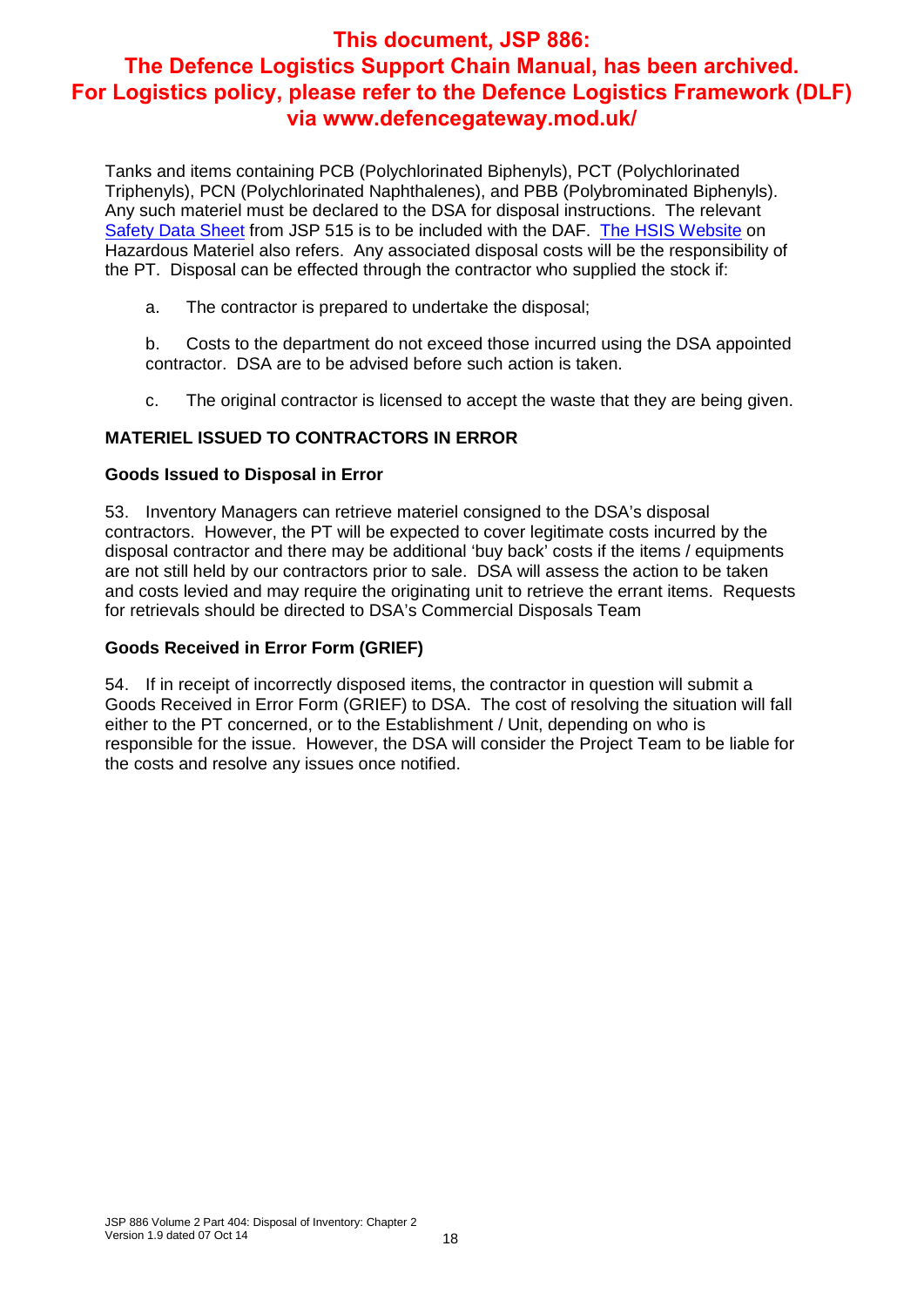Tanks and items containing PCB (Polychlorinated Biphenyls), PCT (Polychlorinated Triphenyls), PCN (Polychlorinated Naphthalenes), and PBB (Polybrominated Biphenyls). Any such materiel must be declared to the DSA for disposal instructions. The relevant Safety Data Sheet from JSP 515 is to be included with the DAF. The HSIS Website on Hazardous Materiel also refers. Any associated disposal costs will be the responsibility of the PT. Disposal can be effected through the contractor who supplied the stock if:

a. The contractor is prepared to undertake the disposal;

b. Costs to the department do not exceed those incurred using the DSA appointed contractor. DSA are to be advised before such action is taken.

c. The original contractor is licensed to accept the waste that they are being given.

#### **MATERIEL ISSUED TO CONTRACTORS IN ERROR**

#### **Goods Issued to Disposal in Error**

53. Inventory Managers can retrieve materiel consigned to the DSA's disposal contractors. However, the PT will be expected to cover legitimate costs incurred by the disposal contractor and there may be additional 'buy back' costs if the items / equipments are not still held by our contractors prior to sale. DSA will assess the action to be taken and costs levied and may require the originating unit to retrieve the errant items. Requests for retrievals should be directed to DSA's Commercial Disposals Team

#### **Goods Received in Error Form (GRIEF)**

54. If in receipt of incorrectly disposed items, the contractor in question will submit a Goods Received in Error Form (GRIEF) to DSA. The cost of resolving the situation will fall either to the PT concerned, or to the Establishment / Unit, depending on who is responsible for the issue. However, the DSA will consider the Project Team to be liable for the costs and resolve any issues once notified.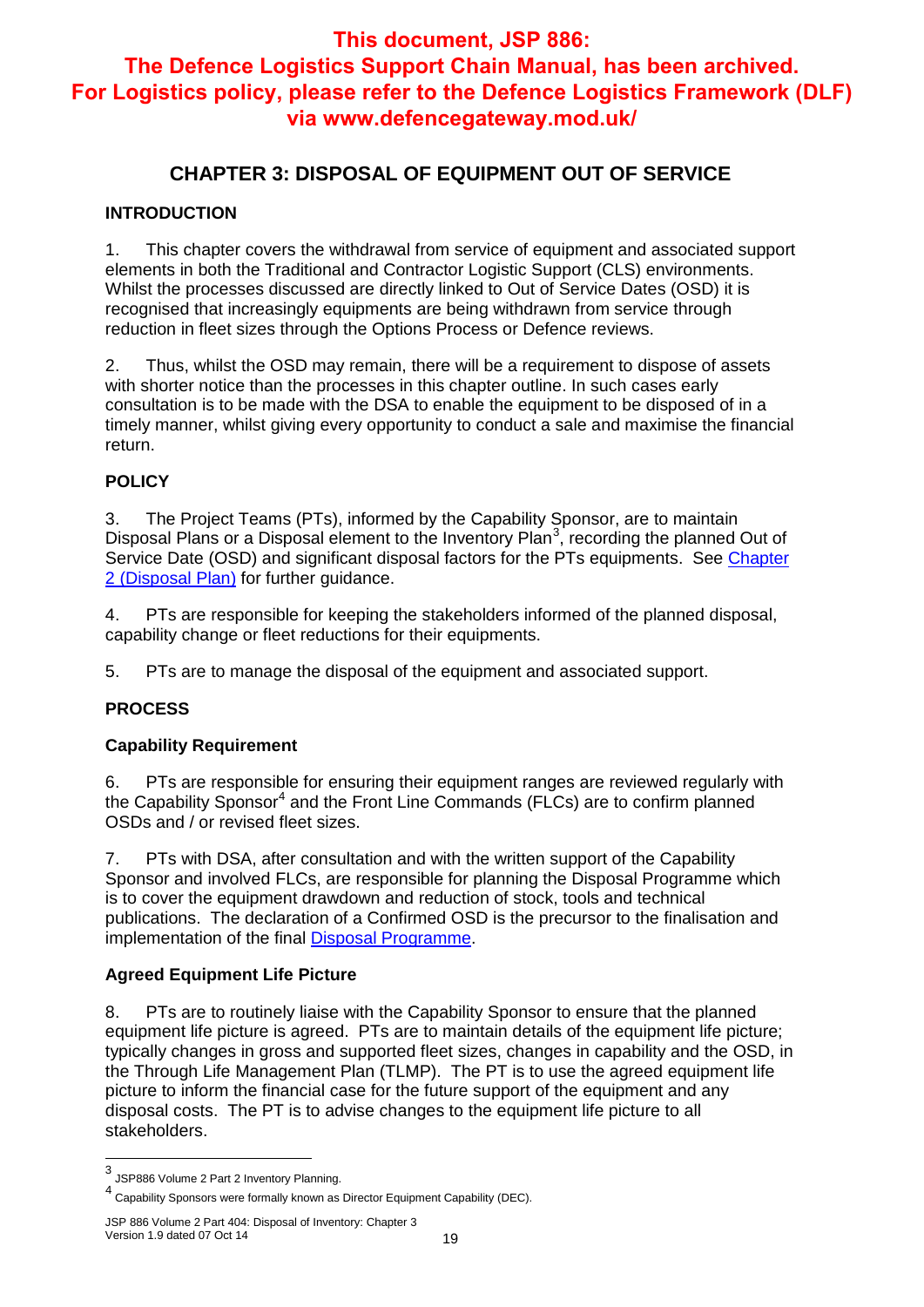## **CHAPTER 3: DISPOSAL OF EQUIPMENT OUT OF SERVICE**

#### **INTRODUCTION**

1. This chapter covers the withdrawal from service of equipment and associated support elements in both the Traditional and Contractor Logistic Support (CLS) environments. Whilst the processes discussed are directly linked to Out of Service Dates (OSD) it is recognised that increasingly equipments are being withdrawn from service through reduction in fleet sizes through the Options Process or Defence reviews.

2. Thus, whilst the OSD may remain, there will be a requirement to dispose of assets with shorter notice than the processes in this chapter outline. In such cases early consultation is to be made with the DSA to enable the equipment to be disposed of in a timely manner, whilst giving every opportunity to conduct a sale and maximise the financial return.

#### **POLICY**

3. The Project Teams (PTs), informed by the Capability Sponsor, are to maintain Disposal Plans or a Disposal element to the Inventory Plan<sup>3</sup>, recording the planned Out of Service Date (OSD) and significant disposal factors for the PTs equipments. See Chapter 2 (Disposal Plan) for further guidance.

4. PTs are responsible for keeping the stakeholders informed of the planned disposal, capability change or fleet reductions for their equipments.

5. PTs are to manage the disposal of the equipment and associated support.

#### **PROCESS**

#### **Capability Requirement**

6. PTs are responsible for ensuring their equipment ranges are reviewed regularly with the Capability Sponsor<sup>4</sup> and the Front Line Commands (FLCs) are to confirm planned OSDs and / or revised fleet sizes.

7. PTs with DSA, after consultation and with the written support of the Capability Sponsor and involved FLCs, are responsible for planning the Disposal Programme which is to cover the equipment drawdown and reduction of stock, tools and technical publications. The declaration of a Confirmed OSD is the precursor to the finalisation and implementation of the final Disposal Programme.

#### **Agreed Equipment Life Picture**

8. PTs are to routinely liaise with the Capability Sponsor to ensure that the planned equipment life picture is agreed. PTs are to maintain details of the equipment life picture; typically changes in gross and supported fleet sizes, changes in capability and the OSD, in the Through Life Management Plan (TLMP). The PT is to use the agreed equipment life picture to inform the financial case for the future support of the equipment and any disposal costs. The PT is to advise changes to the equipment life picture to all stakeholders.

 $\overline{a}$ 

<sup>3</sup> JSP886 Volume 2 Part 2 Inventory Planning.

<sup>4</sup> Capability Sponsors were formally known as Director Equipment Capability (DEC).

JSP 886 Volume 2 Part 404: Disposal of Inventory: Chapter 3 Version 1.9 dated 07 Oct 14 19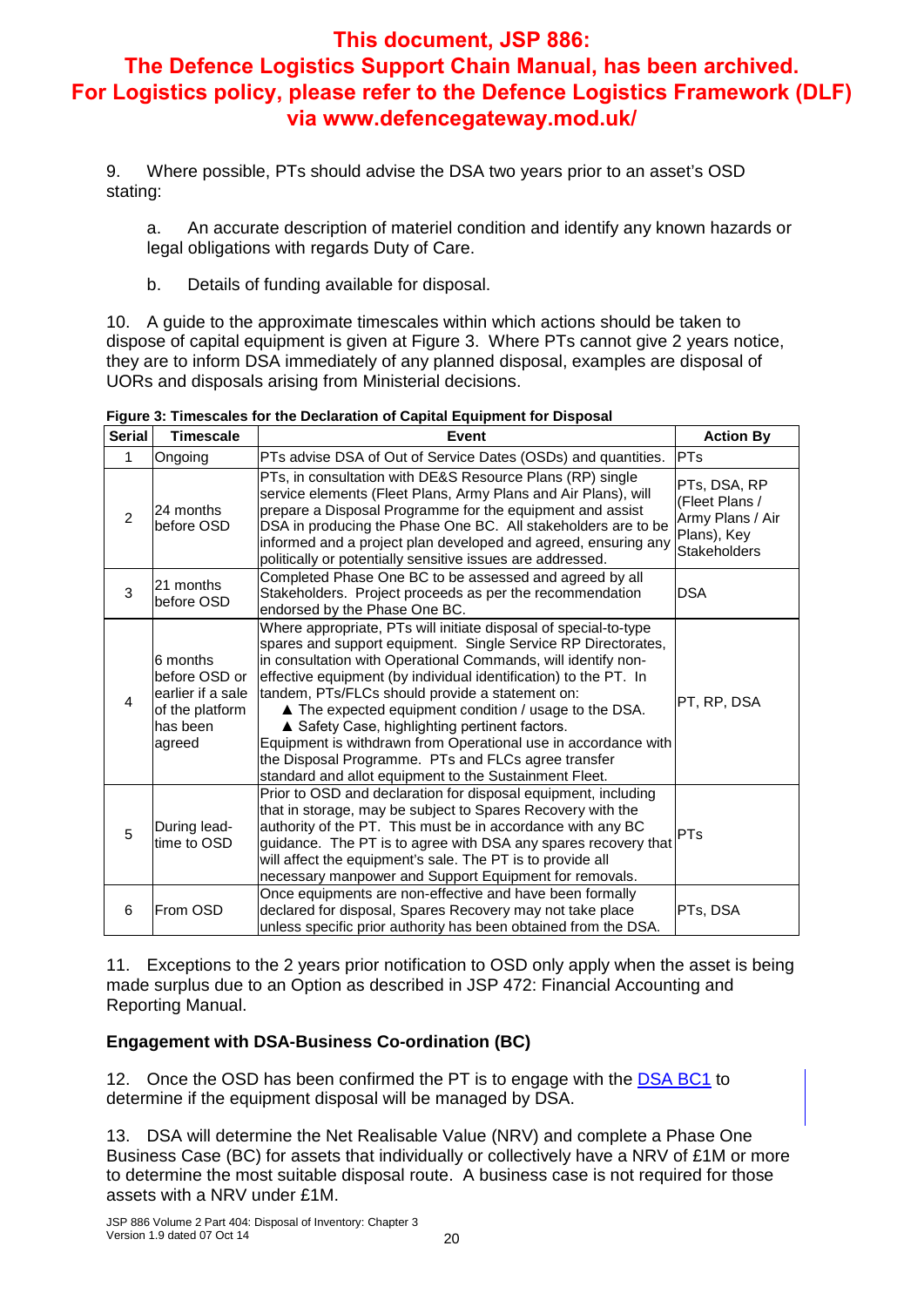9. Where possible, PTs should advise the DSA two years prior to an asset's OSD stating:

a. An accurate description of materiel condition and identify any known hazards or legal obligations with regards Duty of Care.

b. Details of funding available for disposal.

10. A guide to the approximate timescales within which actions should be taken to dispose of capital equipment is given at Figure 3. Where PTs cannot give 2 years notice, they are to inform DSA immediately of any planned disposal, examples are disposal of UORs and disposals arising from Ministerial decisions.

| <b>Serial</b> | <b>Timescale</b>                                                                        | Event                                                                                                                                                                                                                                                                                                                                                                                                                                                                                                                                                                                                                    | <b>Action By</b>                                                                         |
|---------------|-----------------------------------------------------------------------------------------|--------------------------------------------------------------------------------------------------------------------------------------------------------------------------------------------------------------------------------------------------------------------------------------------------------------------------------------------------------------------------------------------------------------------------------------------------------------------------------------------------------------------------------------------------------------------------------------------------------------------------|------------------------------------------------------------------------------------------|
| 1             | Ongoing                                                                                 | PTs advise DSA of Out of Service Dates (OSDs) and quantities.                                                                                                                                                                                                                                                                                                                                                                                                                                                                                                                                                            | <b>PTs</b>                                                                               |
| 2             | 24 months<br>before OSD                                                                 | PTs, in consultation with DE&S Resource Plans (RP) single<br>service elements (Fleet Plans, Army Plans and Air Plans), will<br>prepare a Disposal Programme for the equipment and assist<br>DSA in producing the Phase One BC. All stakeholders are to be<br>informed and a project plan developed and agreed, ensuring any<br>politically or potentially sensitive issues are addressed.                                                                                                                                                                                                                                | PTs, DSA, RP<br>(Fleet Plans /<br>Army Plans / Air<br>Plans), Key<br><b>Stakeholders</b> |
| 3             | 21 months<br>before OSD                                                                 | Completed Phase One BC to be assessed and agreed by all<br>Stakeholders. Project proceeds as per the recommendation<br>endorsed by the Phase One BC.                                                                                                                                                                                                                                                                                                                                                                                                                                                                     | <b>DSA</b>                                                                               |
| 4             | 6 months<br>before OSD or<br>earlier if a sale<br>of the platform<br>has been<br>agreed | Where appropriate, PTs will initiate disposal of special-to-type<br>spares and support equipment. Single Service RP Directorates,<br>in consultation with Operational Commands, will identify non-<br>effective equipment (by individual identification) to the PT. In<br>tandem, PTs/FLCs should provide a statement on:<br>▲ The expected equipment condition / usage to the DSA.<br>▲ Safety Case, highlighting pertinent factors.<br>Equipment is withdrawn from Operational use in accordance with<br>the Disposal Programme. PTs and FLCs agree transfer<br>standard and allot equipment to the Sustainment Fleet. | PT, RP, DSA                                                                              |
| 5             | During lead-<br>time to OSD                                                             | Prior to OSD and declaration for disposal equipment, including<br>that in storage, may be subject to Spares Recovery with the<br>authority of the PT. This must be in accordance with any BC<br>guidance. The PT is to agree with DSA any spares recovery that<br>will affect the equipment's sale. The PT is to provide all<br>necessary manpower and Support Equipment for removals.                                                                                                                                                                                                                                   | <b>PTs</b>                                                                               |
| 6             | From OSD                                                                                | Once equipments are non-effective and have been formally<br>declared for disposal, Spares Recovery may not take place<br>unless specific prior authority has been obtained from the DSA.                                                                                                                                                                                                                                                                                                                                                                                                                                 | PTs, DSA                                                                                 |

**Figure 3: Timescales for the Declaration of Capital Equipment for Disposal**

11. Exceptions to the 2 years prior notification to OSD only apply when the asset is being made surplus due to an Option as described in JSP 472: Financial Accounting and Reporting Manual.

#### **Engagement with DSA-Business Co-ordination (BC)**

12. Once the OSD has been confirmed the PT is to engage with the DSA BC1 to determine if the equipment disposal will be managed by DSA.

13. DSA will determine the Net Realisable Value (NRV) and complete a Phase One Business Case (BC) for assets that individually or collectively have a NRV of £1M or more to determine the most suitable disposal route. A business case is not required for those assets with a NRV under £1M.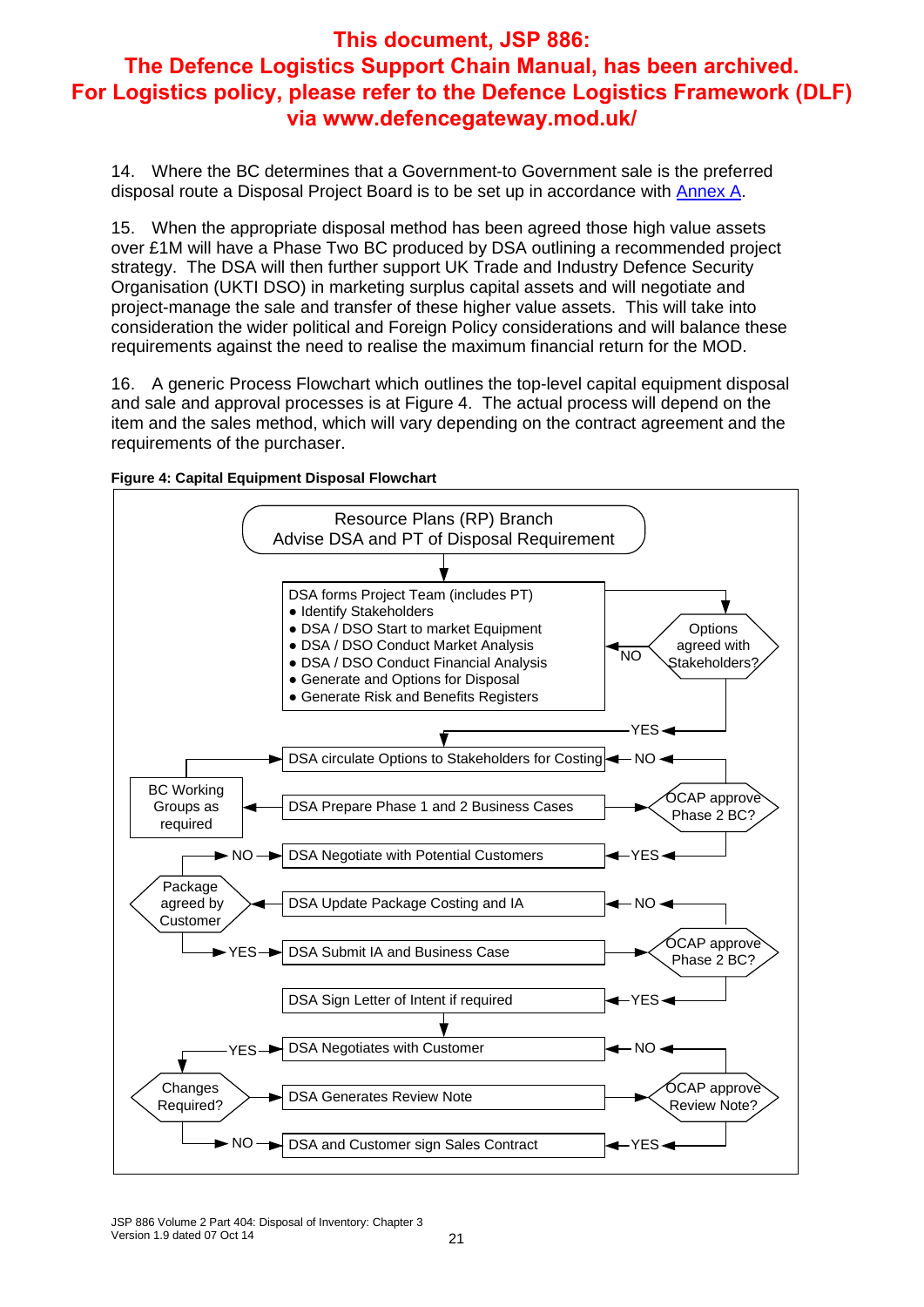14. Where the BC determines that a Government-to Government sale is the preferred disposal route a Disposal Project Board is to be set up in accordance with Annex A.

15. When the appropriate disposal method has been agreed those high value assets over £1M will have a Phase Two BC produced by DSA outlining a recommended project strategy. The DSA will then further support UK Trade and Industry Defence Security Organisation (UKTI DSO) in marketing surplus capital assets and will negotiate and project-manage the sale and transfer of these higher value assets. This will take into consideration the wider political and Foreign Policy considerations and will balance these requirements against the need to realise the maximum financial return for the MOD.

16. A generic Process Flowchart which outlines the top-level capital equipment disposal and sale and approval processes is at Figure 4. The actual process will depend on the item and the sales method, which will vary depending on the contract agreement and the requirements of the purchaser.



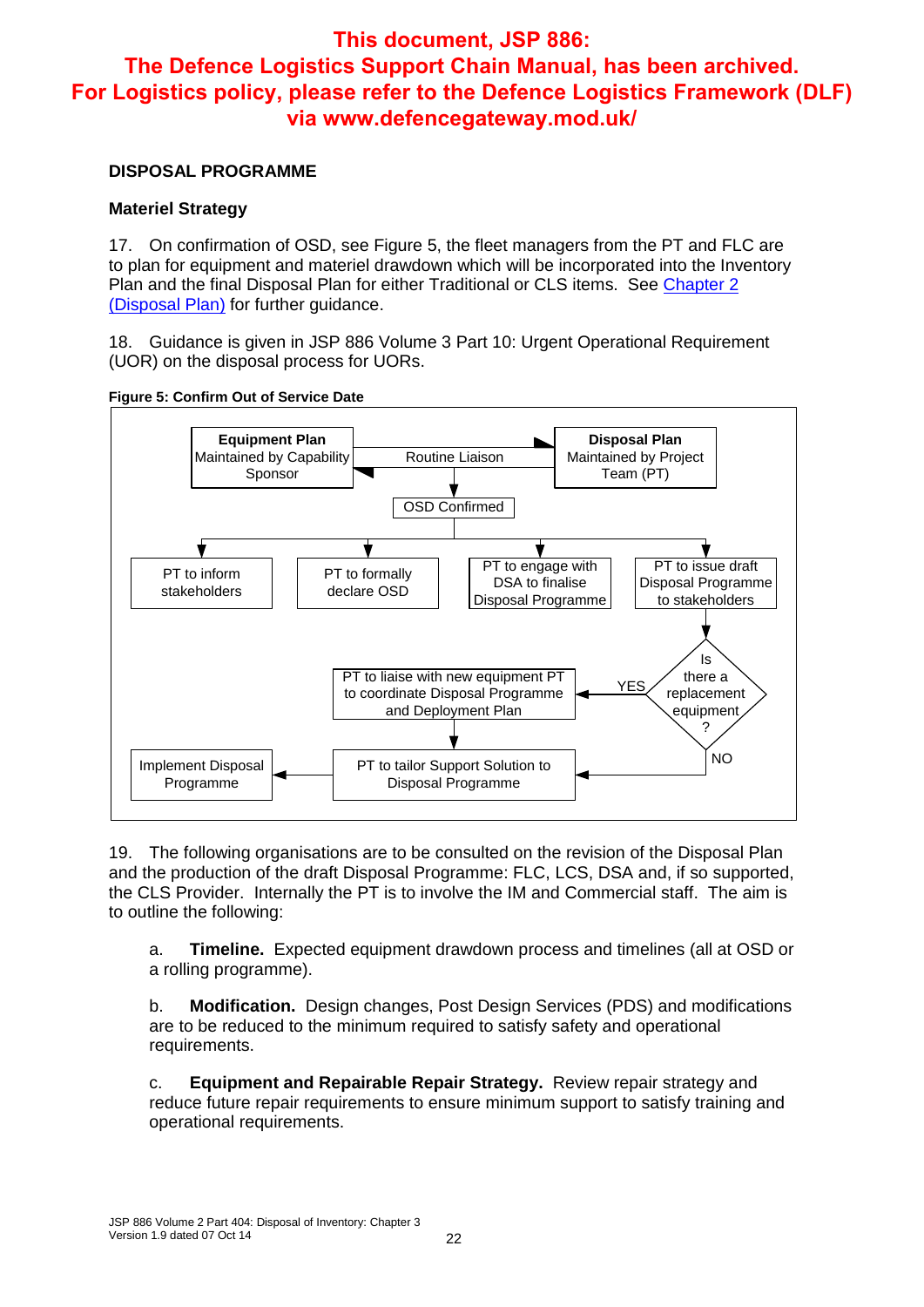#### **DISPOSAL PROGRAMME**

#### **Materiel Strategy**

17. On confirmation of OSD, see Figure 5, the fleet managers from the PT and FLC are to plan for equipment and materiel drawdown which will be incorporated into the Inventory Plan and the final Disposal Plan for either Traditional or CLS items. See Chapter 2 (Disposal Plan) for further guidance.

18. Guidance is given in JSP 886 Volume 3 Part 10: Urgent Operational Requirement (UOR) on the disposal process for UORs.



**Figure 5: Confirm Out of Service Date**

19. The following organisations are to be consulted on the revision of the Disposal Plan and the production of the draft Disposal Programme: FLC, LCS, DSA and, if so supported, the CLS Provider. Internally the PT is to involve the IM and Commercial staff. The aim is to outline the following:

a. **Timeline.** Expected equipment drawdown process and timelines (all at OSD or a rolling programme).

b. **Modification.** Design changes, Post Design Services (PDS) and modifications are to be reduced to the minimum required to satisfy safety and operational requirements.

c. **Equipment and Repairable Repair Strategy.** Review repair strategy and reduce future repair requirements to ensure minimum support to satisfy training and operational requirements.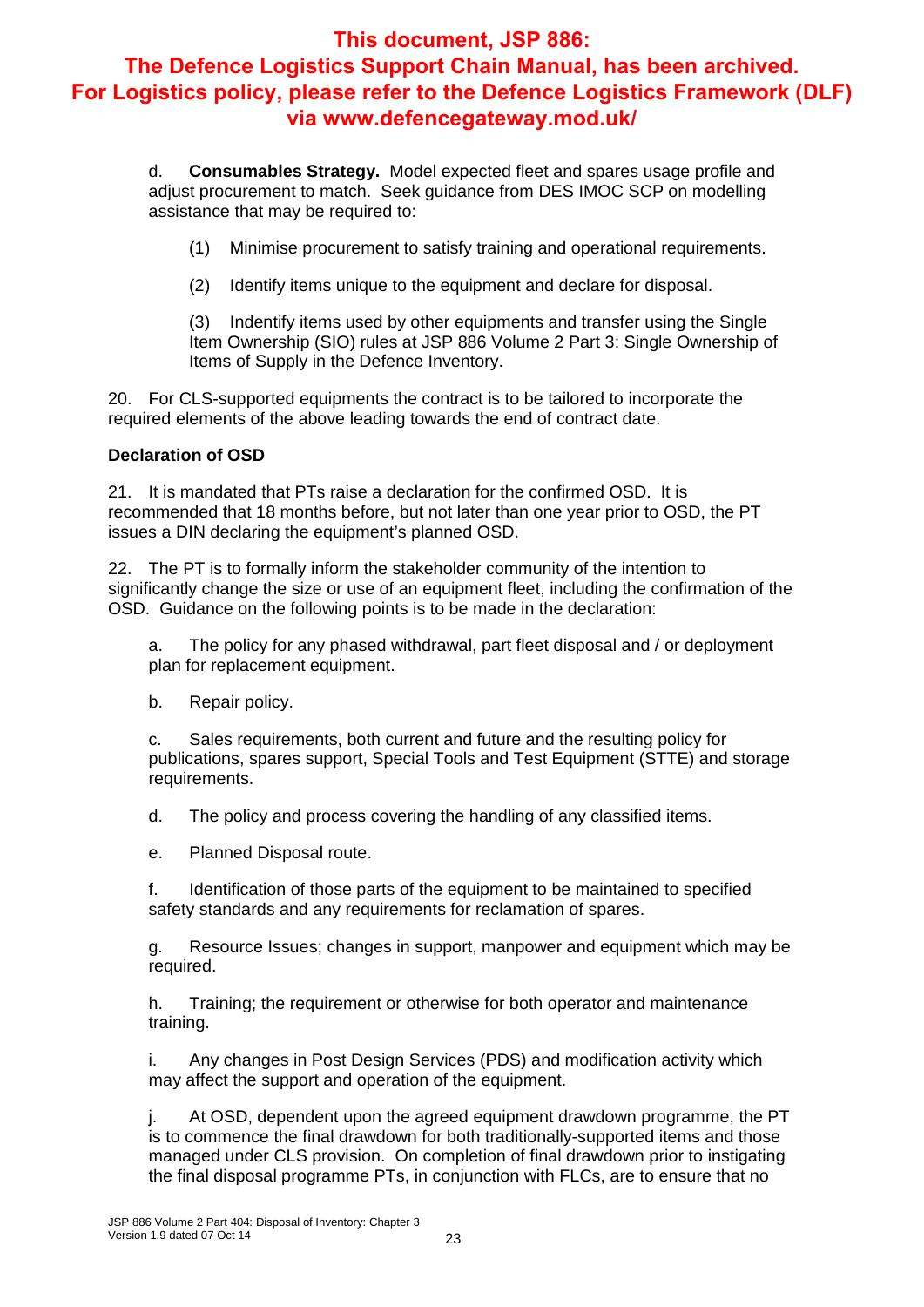d. **Consumables Strategy.** Model expected fleet and spares usage profile and adjust procurement to match. Seek guidance from DES IMOC SCP on modelling assistance that may be required to:

(1) Minimise procurement to satisfy training and operational requirements.

(2) Identify items unique to the equipment and declare for disposal.

(3) Indentify items used by other equipments and transfer using the Single Item Ownership (SIO) rules at JSP 886 Volume 2 Part 3: Single Ownership of Items of Supply in the Defence Inventory.

20. For CLS-supported equipments the contract is to be tailored to incorporate the required elements of the above leading towards the end of contract date.

#### **Declaration of OSD**

21. It is mandated that PTs raise a declaration for the confirmed OSD. It is recommended that 18 months before, but not later than one year prior to OSD, the PT issues a DIN declaring the equipment's planned OSD.

22. The PT is to formally inform the stakeholder community of the intention to significantly change the size or use of an equipment fleet, including the confirmation of the OSD. Guidance on the following points is to be made in the declaration:

a. The policy for any phased withdrawal, part fleet disposal and / or deployment plan for replacement equipment.

b. Repair policy.

c. Sales requirements, both current and future and the resulting policy for publications, spares support, Special Tools and Test Equipment (STTE) and storage requirements.

d. The policy and process covering the handling of any classified items.

e. Planned Disposal route.

f. Identification of those parts of the equipment to be maintained to specified safety standards and any requirements for reclamation of spares.

g. Resource Issues; changes in support, manpower and equipment which may be required.

h. Training; the requirement or otherwise for both operator and maintenance training.

i. Any changes in Post Design Services (PDS) and modification activity which may affect the support and operation of the equipment.

j. At OSD, dependent upon the agreed equipment drawdown programme, the PT is to commence the final drawdown for both traditionally-supported items and those managed under CLS provision. On completion of final drawdown prior to instigating the final disposal programme PTs, in conjunction with FLCs, are to ensure that no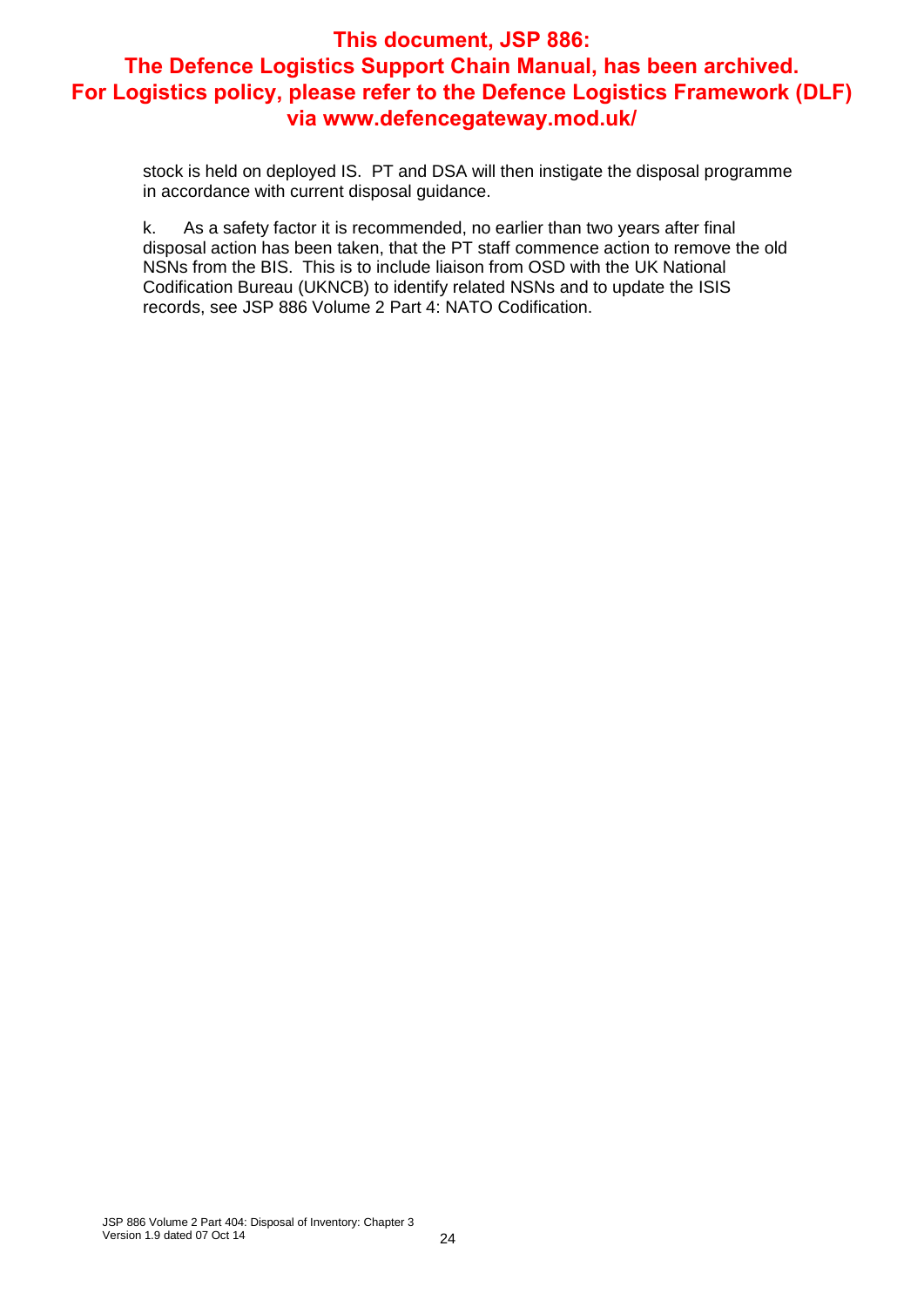stock is held on deployed IS. PT and DSA will then instigate the disposal programme in accordance with current disposal guidance.

k. As a safety factor it is recommended, no earlier than two years after final disposal action has been taken, that the PT staff commence action to remove the old NSNs from the BIS. This is to include liaison from OSD with the UK National Codification Bureau (UKNCB) to identify related NSNs and to update the ISIS records, see JSP 886 Volume 2 Part 4: NATO Codification.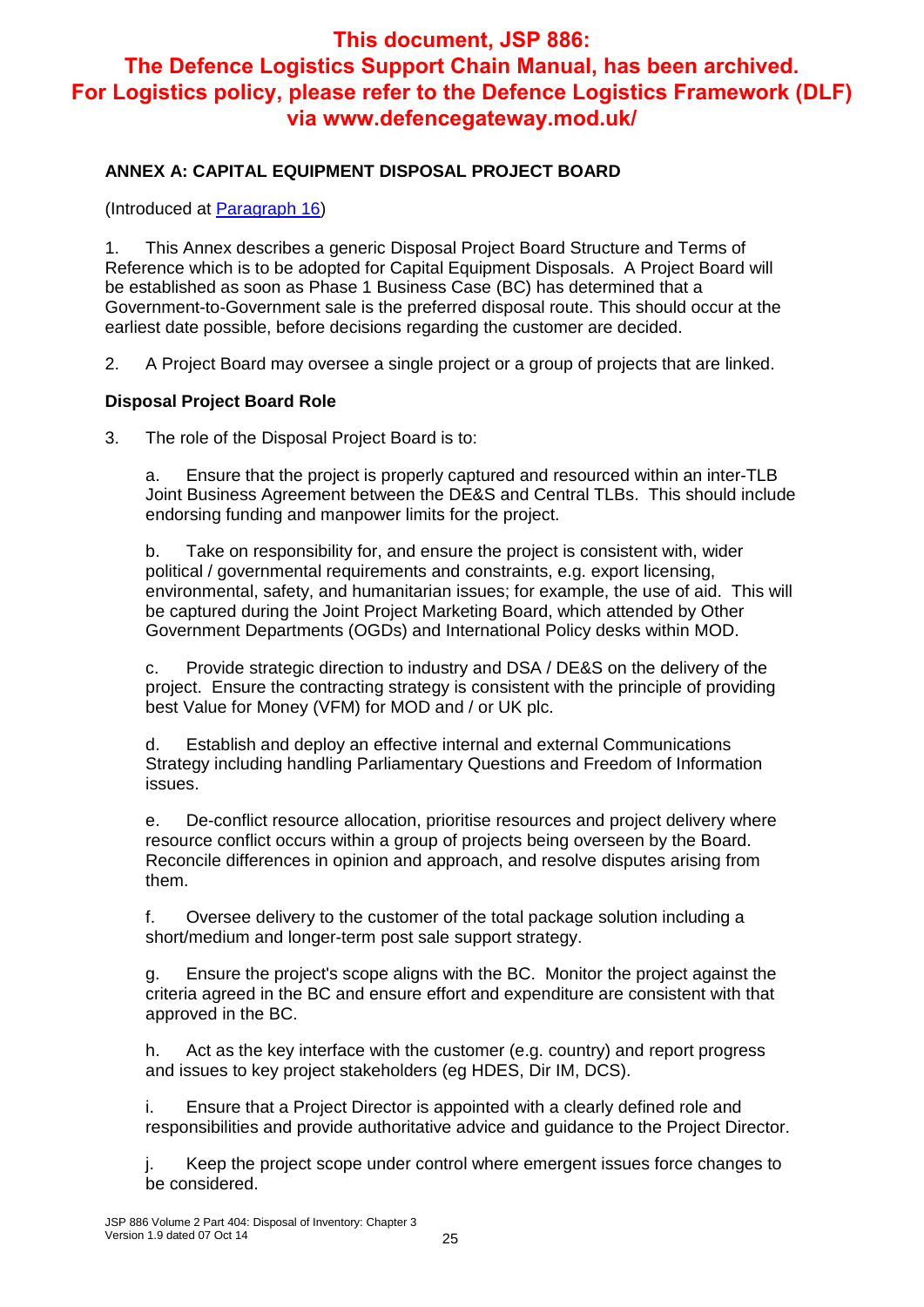#### **ANNEX A: CAPITAL EQUIPMENT DISPOSAL PROJECT BOARD**

(Introduced at Paragraph 16)

1. This Annex describes a generic Disposal Project Board Structure and Terms of Reference which is to be adopted for Capital Equipment Disposals. A Project Board will be established as soon as Phase 1 Business Case (BC) has determined that a Government-to-Government sale is the preferred disposal route. This should occur at the earliest date possible, before decisions regarding the customer are decided.

2. A Project Board may oversee a single project or a group of projects that are linked.

#### **Disposal Project Board Role**

3. The role of the Disposal Project Board is to:

a. Ensure that the project is properly captured and resourced within an inter-TLB Joint Business Agreement between the DE&S and Central TLBs. This should include endorsing funding and manpower limits for the project.

b. Take on responsibility for, and ensure the project is consistent with, wider political / governmental requirements and constraints, e.g. export licensing, environmental, safety, and humanitarian issues; for example, the use of aid. This will be captured during the Joint Project Marketing Board, which attended by Other Government Departments (OGDs) and International Policy desks within MOD.

c. Provide strategic direction to industry and DSA / DE&S on the delivery of the project. Ensure the contracting strategy is consistent with the principle of providing best Value for Money (VFM) for MOD and / or UK plc.

d. Establish and deploy an effective internal and external Communications Strategy including handling Parliamentary Questions and Freedom of Information issues.

e. De-conflict resource allocation, prioritise resources and project delivery where resource conflict occurs within a group of projects being overseen by the Board. Reconcile differences in opinion and approach, and resolve disputes arising from them.

f. Oversee delivery to the customer of the total package solution including a short/medium and longer-term post sale support strategy.

g. Ensure the project's scope aligns with the BC. Monitor the project against the criteria agreed in the BC and ensure effort and expenditure are consistent with that approved in the BC.

h. Act as the key interface with the customer (e.g. country) and report progress and issues to key project stakeholders (eg HDES, Dir IM, DCS).

i. Ensure that a Project Director is appointed with a clearly defined role and responsibilities and provide authoritative advice and guidance to the Project Director.

j. Keep the project scope under control where emergent issues force changes to be considered.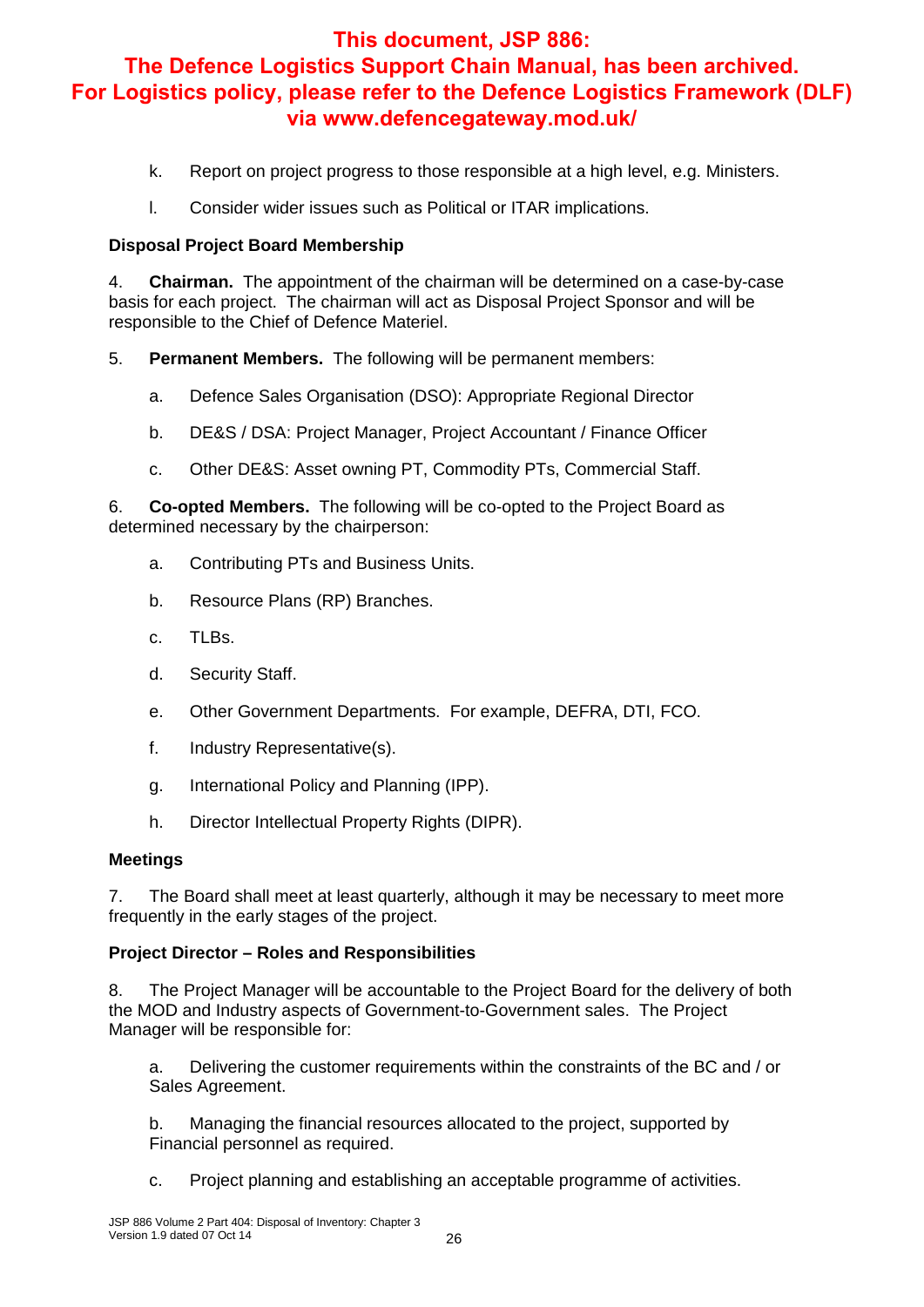- k. Report on project progress to those responsible at a high level, e.g. Ministers.
- l. Consider wider issues such as Political or ITAR implications.

#### **Disposal Project Board Membership**

4. **Chairman.** The appointment of the chairman will be determined on a case-by-case basis for each project. The chairman will act as Disposal Project Sponsor and will be responsible to the Chief of Defence Materiel.

- 5. **Permanent Members.** The following will be permanent members:
	- a. Defence Sales Organisation (DSO): Appropriate Regional Director
	- b. DE&S / DSA: Project Manager, Project Accountant / Finance Officer
	- c. Other DE&S: Asset owning PT, Commodity PTs, Commercial Staff.

6. **Co-opted Members.** The following will be co-opted to the Project Board as determined necessary by the chairperson:

- a. Contributing PTs and Business Units.
- b. Resource Plans (RP) Branches.
- c. TLBs.
- d. Security Staff.
- e. Other Government Departments. For example, DEFRA, DTI, FCO.
- f. Industry Representative(s).
- g. International Policy and Planning (IPP).
- h. Director Intellectual Property Rights (DIPR).

#### **Meetings**

7. The Board shall meet at least quarterly, although it may be necessary to meet more frequently in the early stages of the project.

#### **Project Director – Roles and Responsibilities**

8. The Project Manager will be accountable to the Project Board for the delivery of both the MOD and Industry aspects of Government-to-Government sales. The Project Manager will be responsible for:

a. Delivering the customer requirements within the constraints of the BC and / or Sales Agreement.

b. Managing the financial resources allocated to the project, supported by Financial personnel as required.

c. Project planning and establishing an acceptable programme of activities.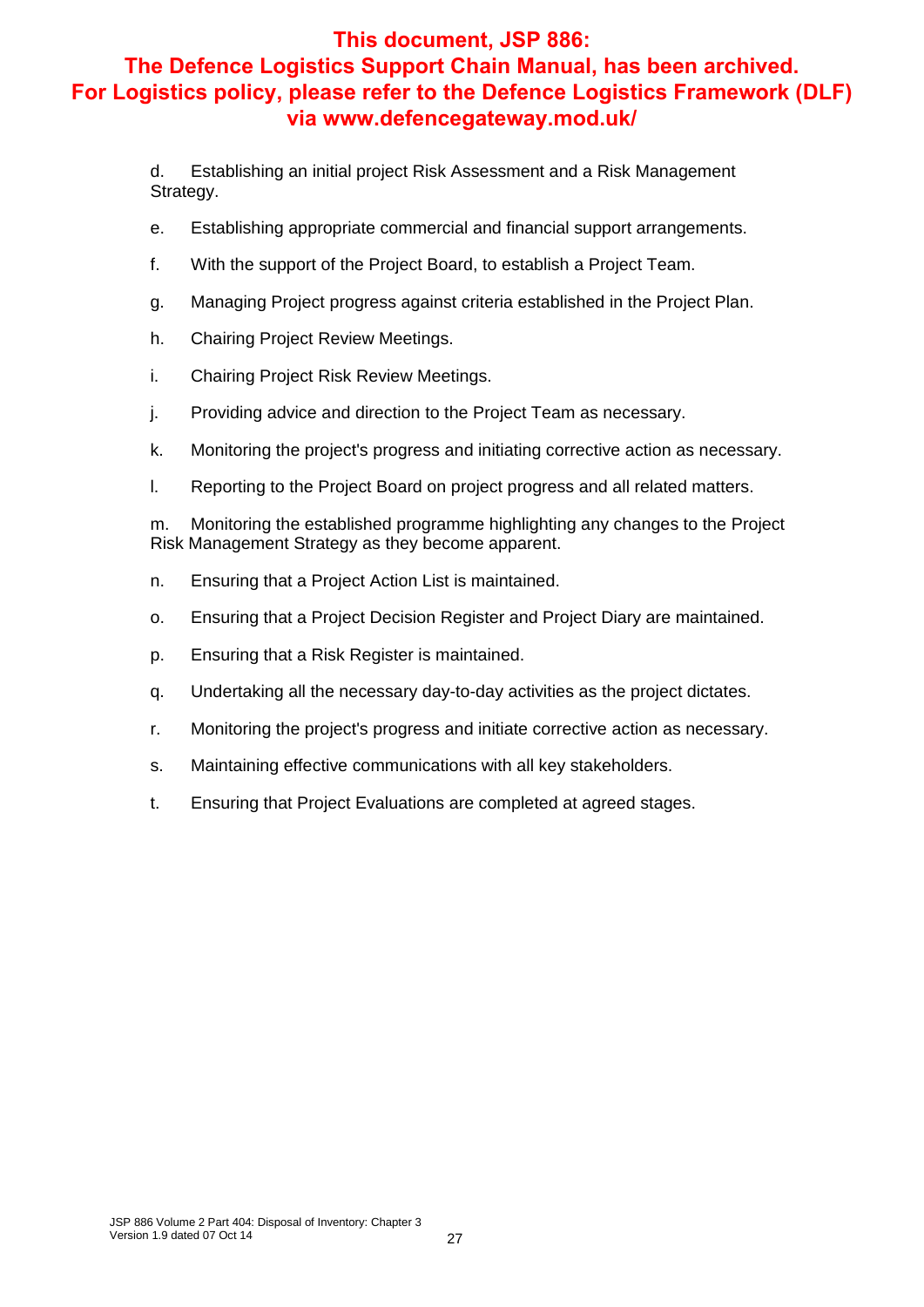d. Establishing an initial project Risk Assessment and a Risk Management Strategy.

- e. Establishing appropriate commercial and financial support arrangements.
- f. With the support of the Project Board, to establish a Project Team.
- g. Managing Project progress against criteria established in the Project Plan.
- h. Chairing Project Review Meetings.
- i. Chairing Project Risk Review Meetings.
- j. Providing advice and direction to the Project Team as necessary.
- k. Monitoring the project's progress and initiating corrective action as necessary.
- l. Reporting to the Project Board on project progress and all related matters.

m. Monitoring the established programme highlighting any changes to the Project Risk Management Strategy as they become apparent.

- n. Ensuring that a Project Action List is maintained.
- o. Ensuring that a Project Decision Register and Project Diary are maintained.
- p. Ensuring that a Risk Register is maintained.
- q. Undertaking all the necessary day-to-day activities as the project dictates.
- r. Monitoring the project's progress and initiate corrective action as necessary.
- s. Maintaining effective communications with all key stakeholders.
- t. Ensuring that Project Evaluations are completed at agreed stages.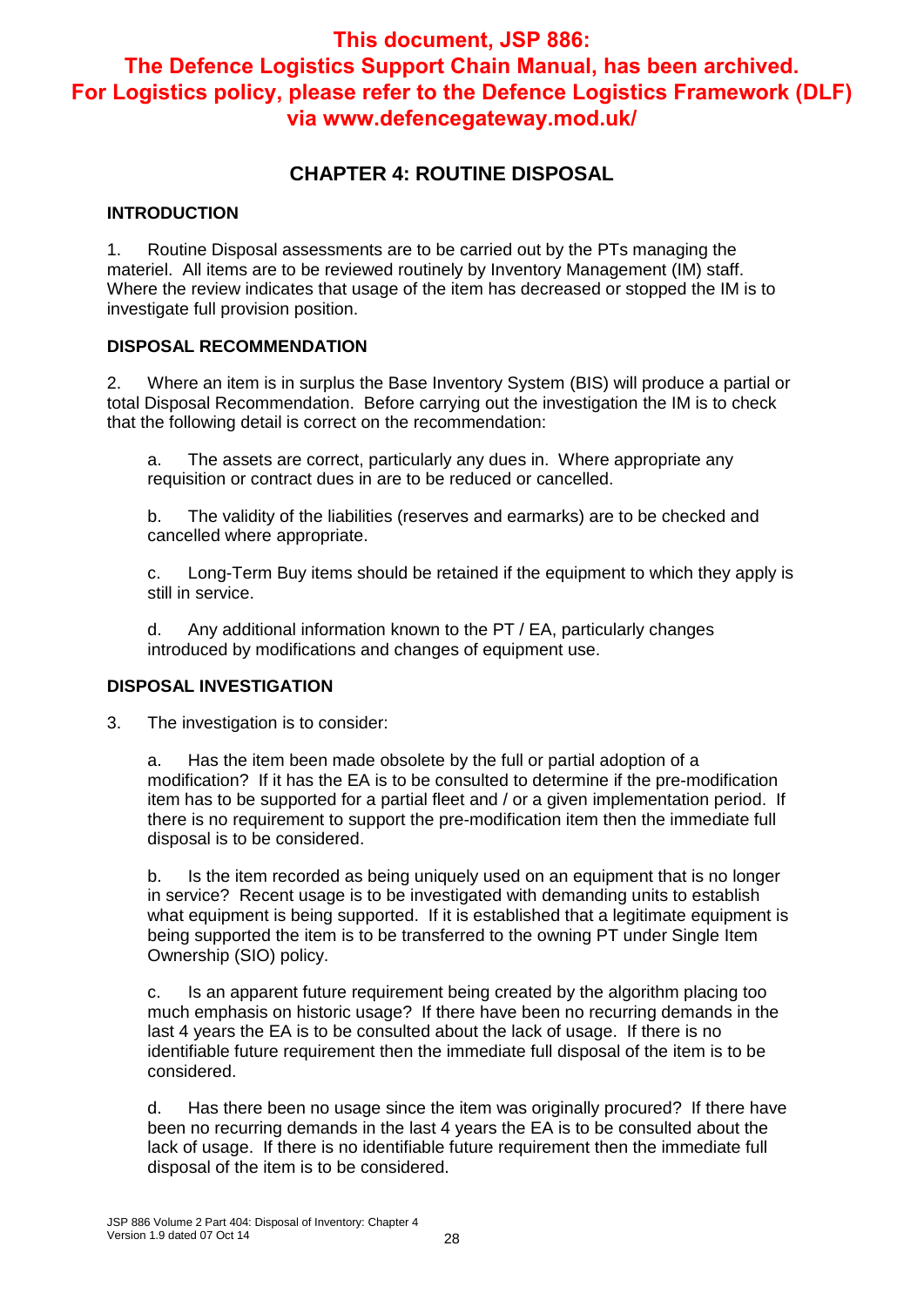## **CHAPTER 4: ROUTINE DISPOSAL**

#### **INTRODUCTION**

1. Routine Disposal assessments are to be carried out by the PTs managing the materiel. All items are to be reviewed routinely by Inventory Management (IM) staff. Where the review indicates that usage of the item has decreased or stopped the IM is to investigate full provision position.

#### **DISPOSAL RECOMMENDATION**

2. Where an item is in surplus the Base Inventory System (BIS) will produce a partial or total Disposal Recommendation. Before carrying out the investigation the IM is to check that the following detail is correct on the recommendation:

a. The assets are correct, particularly any dues in. Where appropriate any requisition or contract dues in are to be reduced or cancelled.

b. The validity of the liabilities (reserves and earmarks) are to be checked and cancelled where appropriate.

c. Long-Term Buy items should be retained if the equipment to which they apply is still in service.

d. Any additional information known to the PT / EA, particularly changes introduced by modifications and changes of equipment use.

#### **DISPOSAL INVESTIGATION**

3. The investigation is to consider:

a. Has the item been made obsolete by the full or partial adoption of a modification? If it has the EA is to be consulted to determine if the pre-modification item has to be supported for a partial fleet and / or a given implementation period. If there is no requirement to support the pre-modification item then the immediate full disposal is to be considered.

b. Is the item recorded as being uniquely used on an equipment that is no longer in service? Recent usage is to be investigated with demanding units to establish what equipment is being supported. If it is established that a legitimate equipment is being supported the item is to be transferred to the owning PT under Single Item Ownership (SIO) policy.

c. Is an apparent future requirement being created by the algorithm placing too much emphasis on historic usage? If there have been no recurring demands in the last 4 years the EA is to be consulted about the lack of usage. If there is no identifiable future requirement then the immediate full disposal of the item is to be considered.

d. Has there been no usage since the item was originally procured? If there have been no recurring demands in the last 4 years the EA is to be consulted about the lack of usage. If there is no identifiable future requirement then the immediate full disposal of the item is to be considered.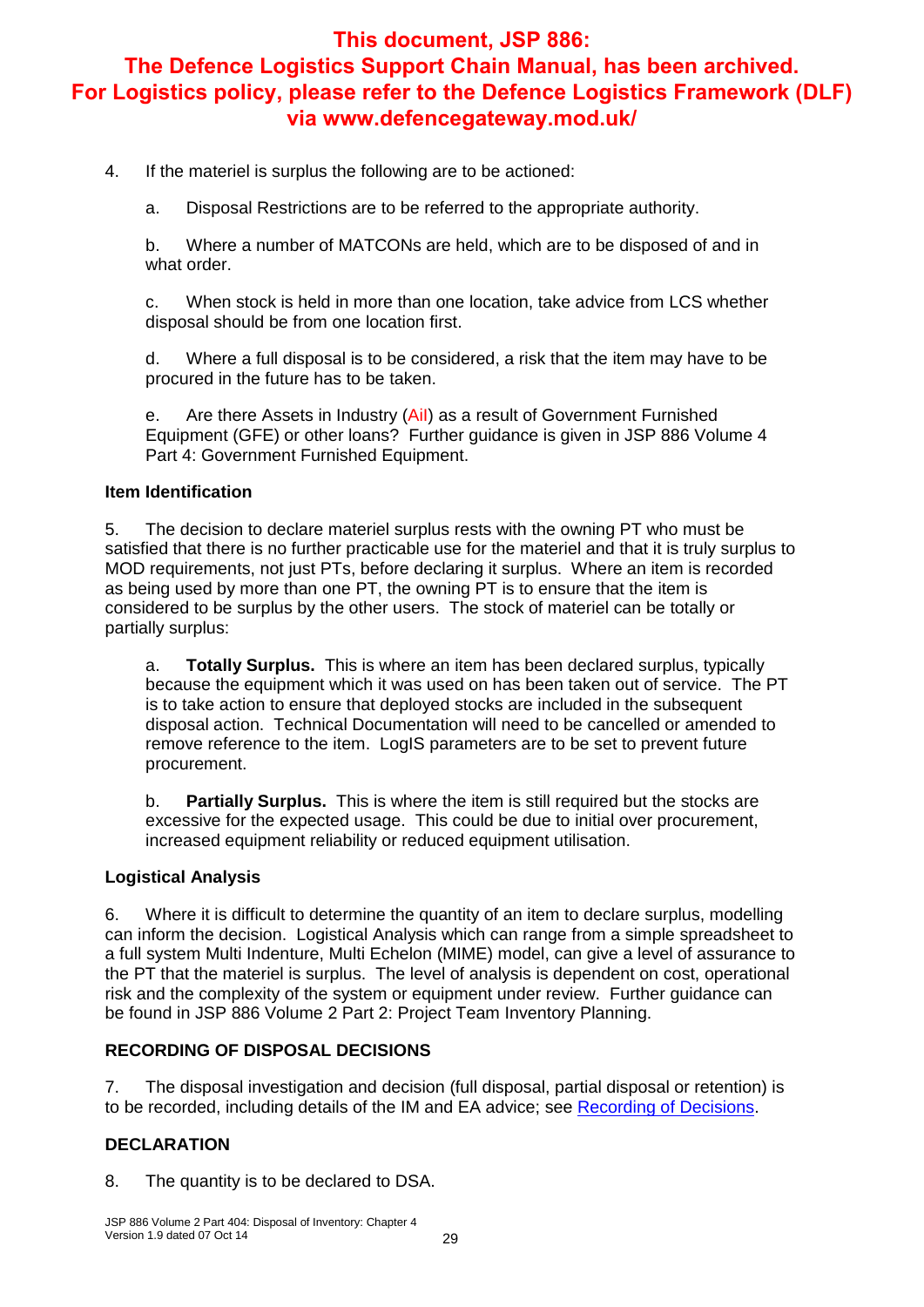4. If the materiel is surplus the following are to be actioned:

a. Disposal Restrictions are to be referred to the appropriate authority.

b. Where a number of MATCONs are held, which are to be disposed of and in what order.

c. When stock is held in more than one location, take advice from LCS whether disposal should be from one location first.

d. Where a full disposal is to be considered, a risk that the item may have to be procured in the future has to be taken.

e. Are there Assets in Industry (AiI) as a result of Government Furnished Equipment (GFE) or other loans? Further guidance is given in JSP 886 Volume 4 Part 4: Government Furnished Equipment.

#### **Item Identification**

5. The decision to declare materiel surplus rests with the owning PT who must be satisfied that there is no further practicable use for the materiel and that it is truly surplus to MOD requirements, not just PTs, before declaring it surplus. Where an item is recorded as being used by more than one PT, the owning PT is to ensure that the item is considered to be surplus by the other users. The stock of materiel can be totally or partially surplus:

a. **Totally Surplus.** This is where an item has been declared surplus, typically because the equipment which it was used on has been taken out of service. The PT is to take action to ensure that deployed stocks are included in the subsequent disposal action. Technical Documentation will need to be cancelled or amended to remove reference to the item. LogIS parameters are to be set to prevent future procurement.

b. **Partially Surplus.** This is where the item is still required but the stocks are excessive for the expected usage. This could be due to initial over procurement, increased equipment reliability or reduced equipment utilisation.

#### **Logistical Analysis**

6. Where it is difficult to determine the quantity of an item to declare surplus, modelling can inform the decision. Logistical Analysis which can range from a simple spreadsheet to a full system Multi Indenture, Multi Echelon (MIME) model, can give a level of assurance to the PT that the materiel is surplus. The level of analysis is dependent on cost, operational risk and the complexity of the system or equipment under review. Further guidance can be found in JSP 886 Volume 2 Part 2: Project Team Inventory Planning.

#### **RECORDING OF DISPOSAL DECISIONS**

7. The disposal investigation and decision (full disposal, partial disposal or retention) is to be recorded, including details of the IM and EA advice; see Recording of Decisions.

#### **DECLARATION**

8. The quantity is to be declared to DSA.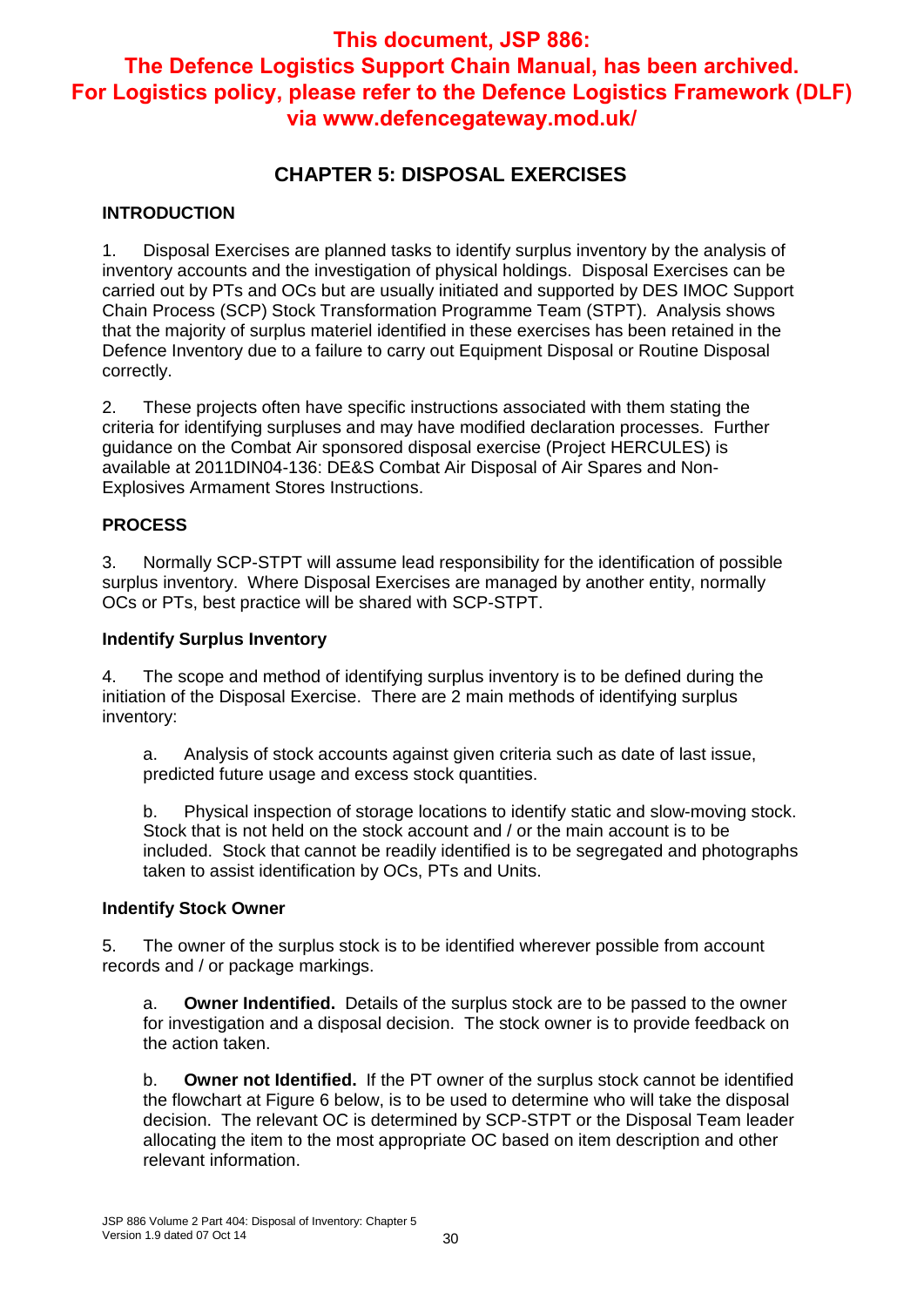## **CHAPTER 5: DISPOSAL EXERCISES**

#### **INTRODUCTION**

1. Disposal Exercises are planned tasks to identify surplus inventory by the analysis of inventory accounts and the investigation of physical holdings. Disposal Exercises can be carried out by PTs and OCs but are usually initiated and supported by DES IMOC Support Chain Process (SCP) Stock Transformation Programme Team (STPT). Analysis shows that the majority of surplus materiel identified in these exercises has been retained in the Defence Inventory due to a failure to carry out Equipment Disposal or Routine Disposal correctly.

2. These projects often have specific instructions associated with them stating the criteria for identifying surpluses and may have modified declaration processes. Further guidance on the Combat Air sponsored disposal exercise (Project HERCULES) is available at 2011DIN04-136: DE&S Combat Air Disposal of Air Spares and Non-Explosives Armament Stores Instructions.

#### **PROCESS**

3. Normally SCP-STPT will assume lead responsibility for the identification of possible surplus inventory. Where Disposal Exercises are managed by another entity, normally OCs or PTs, best practice will be shared with SCP-STPT.

#### **Indentify Surplus Inventory**

4. The scope and method of identifying surplus inventory is to be defined during the initiation of the Disposal Exercise. There are 2 main methods of identifying surplus inventory:

a. Analysis of stock accounts against given criteria such as date of last issue, predicted future usage and excess stock quantities.

b. Physical inspection of storage locations to identify static and slow-moving stock. Stock that is not held on the stock account and / or the main account is to be included. Stock that cannot be readily identified is to be segregated and photographs taken to assist identification by OCs, PTs and Units.

#### **Indentify Stock Owner**

5. The owner of the surplus stock is to be identified wherever possible from account records and / or package markings.

a. **Owner Indentified.** Details of the surplus stock are to be passed to the owner for investigation and a disposal decision. The stock owner is to provide feedback on the action taken.

b. **Owner not Identified.** If the PT owner of the surplus stock cannot be identified the flowchart at Figure 6 below, is to be used to determine who will take the disposal decision. The relevant OC is determined by SCP-STPT or the Disposal Team leader allocating the item to the most appropriate OC based on item description and other relevant information.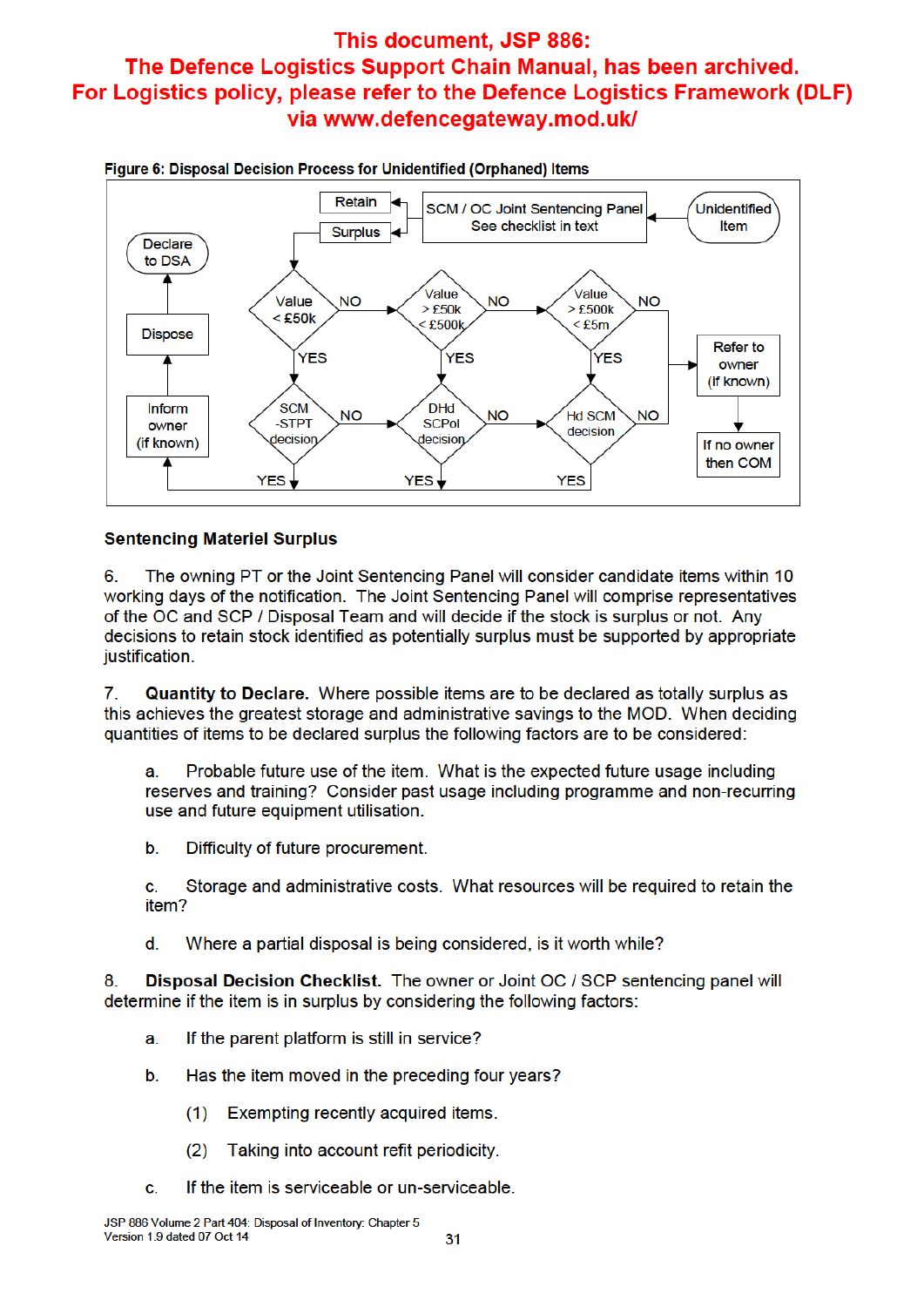

Figure 6: Disposal Decision Process for Unidentified (Orphaned) Items

#### **Sentencing Materiel Surplus**

6 The owning PT or the Joint Sentencing Panel will consider candidate items within 10 working days of the notification. The Joint Sentencing Panel will comprise representatives of the OC and SCP / Disposal Team and will decide if the stock is surplus or not. Any decisions to retain stock identified as potentially surplus must be supported by appropriate justification.

 $\mathbf{7}$ **Quantity to Declare.** Where possible items are to be declared as totally surplus as this achieves the greatest storage and administrative savings to the MOD. When deciding quantities of items to be declared surplus the following factors are to be considered:

a. Probable future use of the item. What is the expected future usage including reserves and training? Consider past usage including programme and non-recurring use and future equipment utilisation.

 $b.$ Difficulty of future procurement.

Storage and administrative costs. What resources will be required to retain the c. item?

d. Where a partial disposal is being considered, is it worth while?

Disposal Decision Checklist. The owner or Joint OC / SCP sentencing panel will 8. determine if the item is in surplus by considering the following factors:

- If the parent platform is still in service? a.
- Has the item moved in the preceding four years? b.
	- $(1)$ Exempting recently acquired items.
	- Taking into account refit periodicity.  $(2)$
- C. If the item is serviceable or un-serviceable.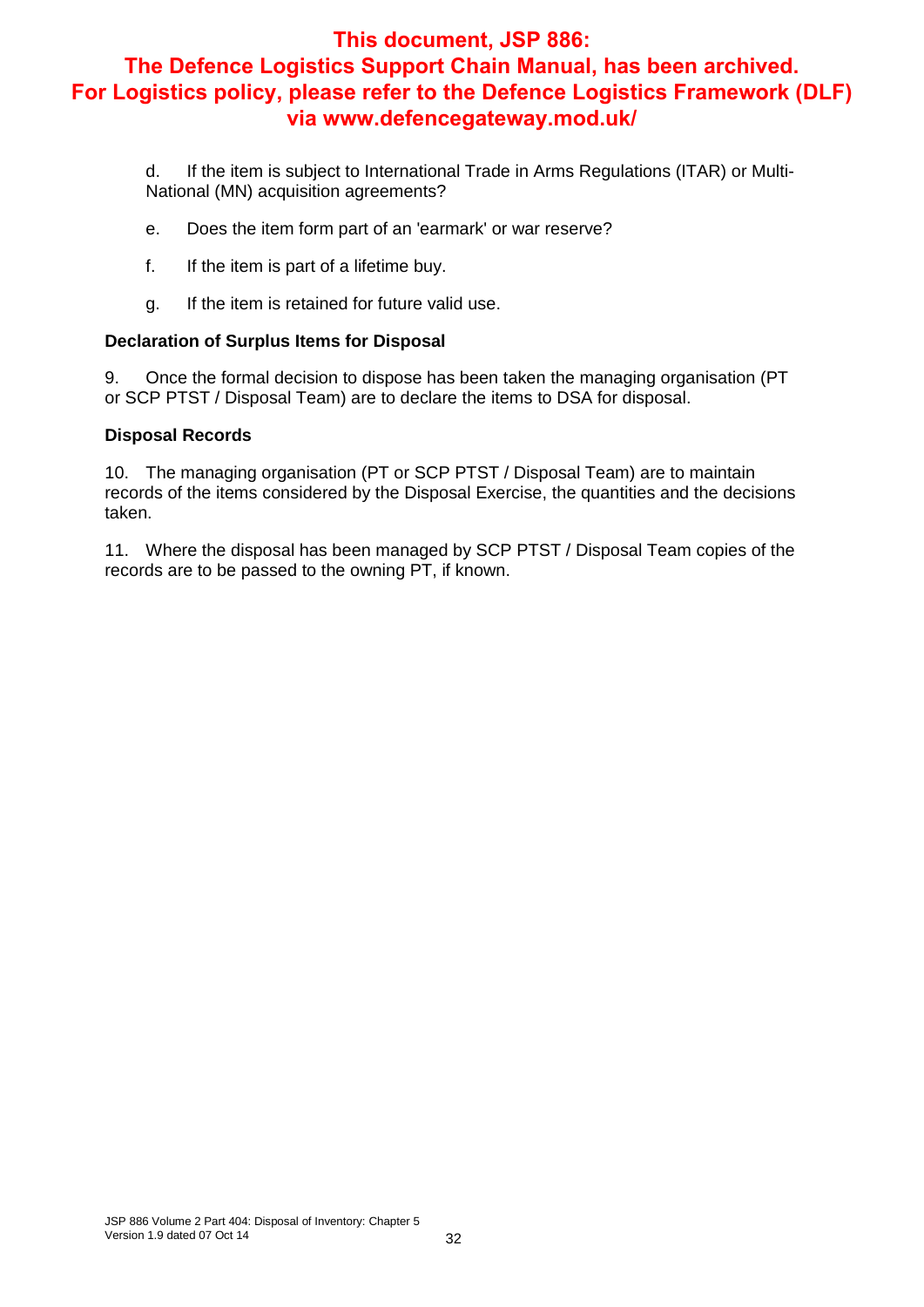d. If the item is subject to International Trade in Arms Regulations (ITAR) or Multi-National (MN) acquisition agreements?

- e. Does the item form part of an 'earmark' or war reserve?
- f. If the item is part of a lifetime buy.
- g. If the item is retained for future valid use.

#### **Declaration of Surplus Items for Disposal**

9. Once the formal decision to dispose has been taken the managing organisation (PT or SCP PTST / Disposal Team) are to declare the items to DSA for disposal.

#### **Disposal Records**

10. The managing organisation (PT or SCP PTST / Disposal Team) are to maintain records of the items considered by the Disposal Exercise, the quantities and the decisions taken.

11. Where the disposal has been managed by SCP PTST / Disposal Team copies of the records are to be passed to the owning PT, if known.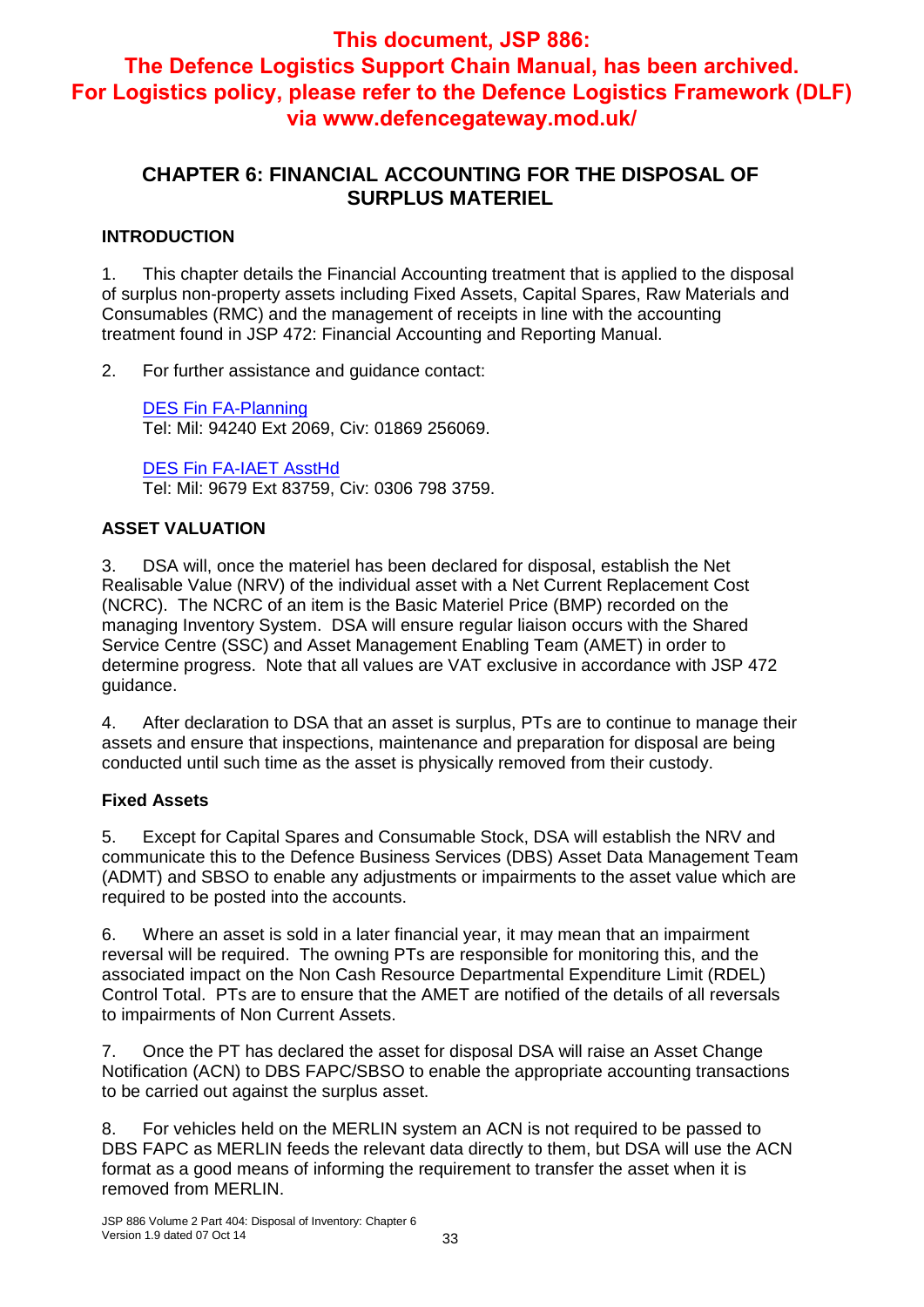## **CHAPTER 6: FINANCIAL ACCOUNTING FOR THE DISPOSAL OF SURPLUS MATERIEL**

#### **INTRODUCTION**

1. This chapter details the Financial Accounting treatment that is applied to the disposal of surplus non-property assets including Fixed Assets, Capital Spares, Raw Materials and Consumables (RMC) and the management of receipts in line with the accounting treatment found in JSP 472: Financial Accounting and Reporting Manual.

2. For further assistance and guidance contact:

DES Fin FA-Planning Tel: Mil: 94240 Ext 2069, Civ: 01869 256069.

DES Fin FA-IAET AsstHd Tel: Mil: 9679 Ext 83759, Civ: 0306 798 3759.

#### **ASSET VALUATION**

3. DSA will, once the materiel has been declared for disposal, establish the Net Realisable Value (NRV) of the individual asset with a Net Current Replacement Cost (NCRC). The NCRC of an item is the Basic Materiel Price (BMP) recorded on the managing Inventory System. DSA will ensure regular liaison occurs with the Shared Service Centre (SSC) and Asset Management Enabling Team (AMET) in order to determine progress. Note that all values are VAT exclusive in accordance with JSP 472 guidance.

4. After declaration to DSA that an asset is surplus, PTs are to continue to manage their assets and ensure that inspections, maintenance and preparation for disposal are being conducted until such time as the asset is physically removed from their custody.

#### **Fixed Assets**

5. Except for Capital Spares and Consumable Stock, DSA will establish the NRV and communicate this to the Defence Business Services (DBS) Asset Data Management Team (ADMT) and SBSO to enable any adjustments or impairments to the asset value which are required to be posted into the accounts.

6. Where an asset is sold in a later financial year, it may mean that an impairment reversal will be required. The owning PTs are responsible for monitoring this, and the associated impact on the Non Cash Resource Departmental Expenditure Limit (RDEL) Control Total. PTs are to ensure that the AMET are notified of the details of all reversals to impairments of Non Current Assets.

7. Once the PT has declared the asset for disposal DSA will raise an Asset Change Notification (ACN) to DBS FAPC/SBSO to enable the appropriate accounting transactions to be carried out against the surplus asset.

8. For vehicles held on the MERLIN system an ACN is not required to be passed to DBS FAPC as MERLIN feeds the relevant data directly to them, but DSA will use the ACN format as a good means of informing the requirement to transfer the asset when it is removed from MERLIN.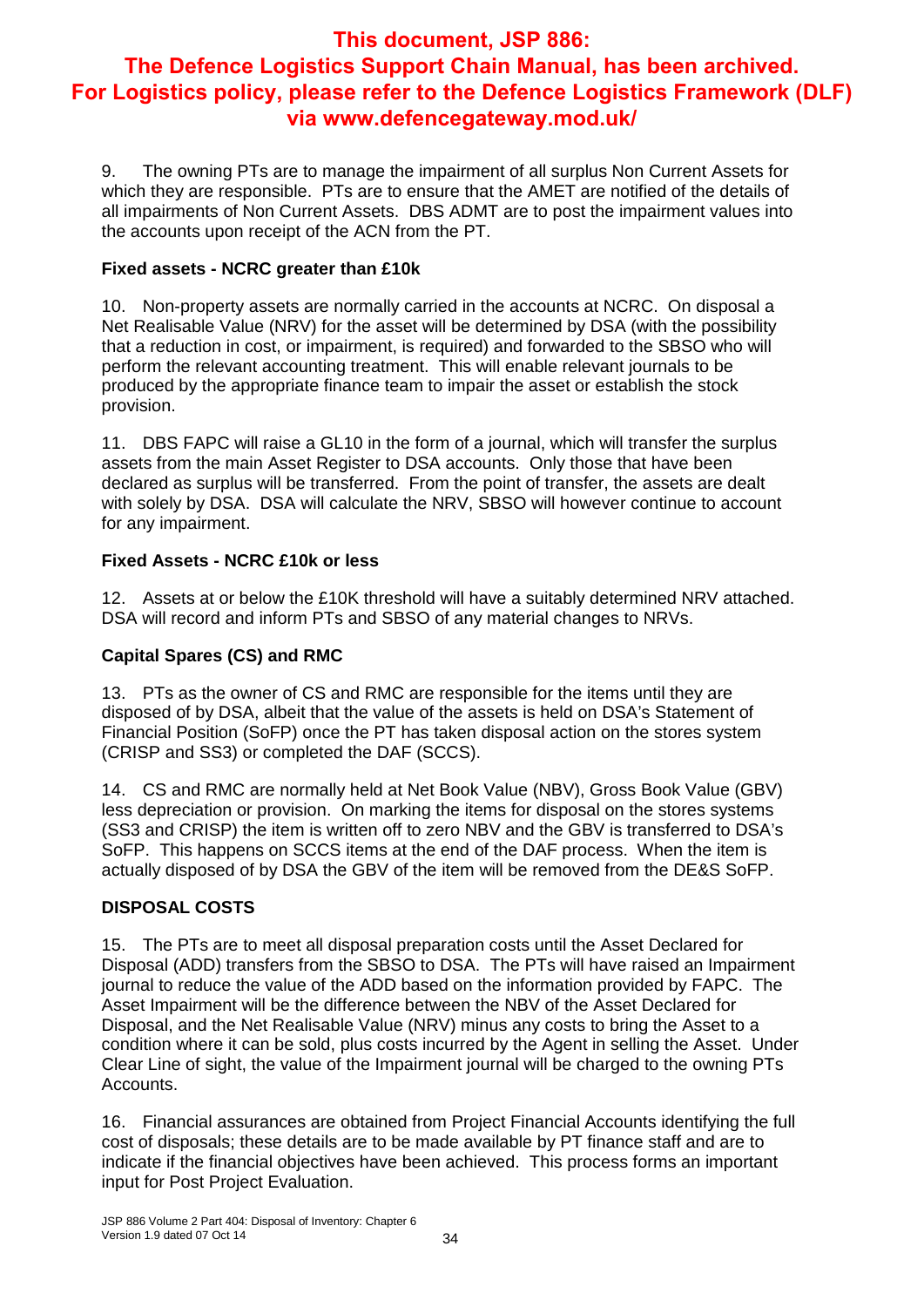9. The owning PTs are to manage the impairment of all surplus Non Current Assets for which they are responsible. PTs are to ensure that the AMET are notified of the details of all impairments of Non Current Assets. DBS ADMT are to post the impairment values into the accounts upon receipt of the ACN from the PT.

#### **Fixed assets - NCRC greater than £10k**

10. Non-property assets are normally carried in the accounts at NCRC. On disposal a Net Realisable Value (NRV) for the asset will be determined by DSA (with the possibility that a reduction in cost, or impairment, is required) and forwarded to the SBSO who will perform the relevant accounting treatment. This will enable relevant journals to be produced by the appropriate finance team to impair the asset or establish the stock provision.

11. DBS FAPC will raise a GL10 in the form of a journal, which will transfer the surplus assets from the main Asset Register to DSA accounts. Only those that have been declared as surplus will be transferred. From the point of transfer, the assets are dealt with solely by DSA. DSA will calculate the NRV, SBSO will however continue to account for any impairment.

#### **Fixed Assets - NCRC £10k or less**

12. Assets at or below the £10K threshold will have a suitably determined NRV attached. DSA will record and inform PTs and SBSO of any material changes to NRVs.

#### **Capital Spares (CS) and RMC**

13. PTs as the owner of CS and RMC are responsible for the items until they are disposed of by DSA, albeit that the value of the assets is held on DSA's Statement of Financial Position (SoFP) once the PT has taken disposal action on the stores system (CRISP and SS3) or completed the DAF (SCCS).

14. CS and RMC are normally held at Net Book Value (NBV), Gross Book Value (GBV) less depreciation or provision. On marking the items for disposal on the stores systems (SS3 and CRISP) the item is written off to zero NBV and the GBV is transferred to DSA's SoFP. This happens on SCCS items at the end of the DAF process. When the item is actually disposed of by DSA the GBV of the item will be removed from the DE&S SoFP.

#### **DISPOSAL COSTS**

15. The PTs are to meet all disposal preparation costs until the Asset Declared for Disposal (ADD) transfers from the SBSO to DSA. The PTs will have raised an Impairment journal to reduce the value of the ADD based on the information provided by FAPC. The Asset Impairment will be the difference between the NBV of the Asset Declared for Disposal, and the Net Realisable Value (NRV) minus any costs to bring the Asset to a condition where it can be sold, plus costs incurred by the Agent in selling the Asset. Under Clear Line of sight, the value of the Impairment journal will be charged to the owning PTs Accounts.

16. Financial assurances are obtained from Project Financial Accounts identifying the full cost of disposals; these details are to be made available by PT finance staff and are to indicate if the financial objectives have been achieved. This process forms an important input for Post Project Evaluation.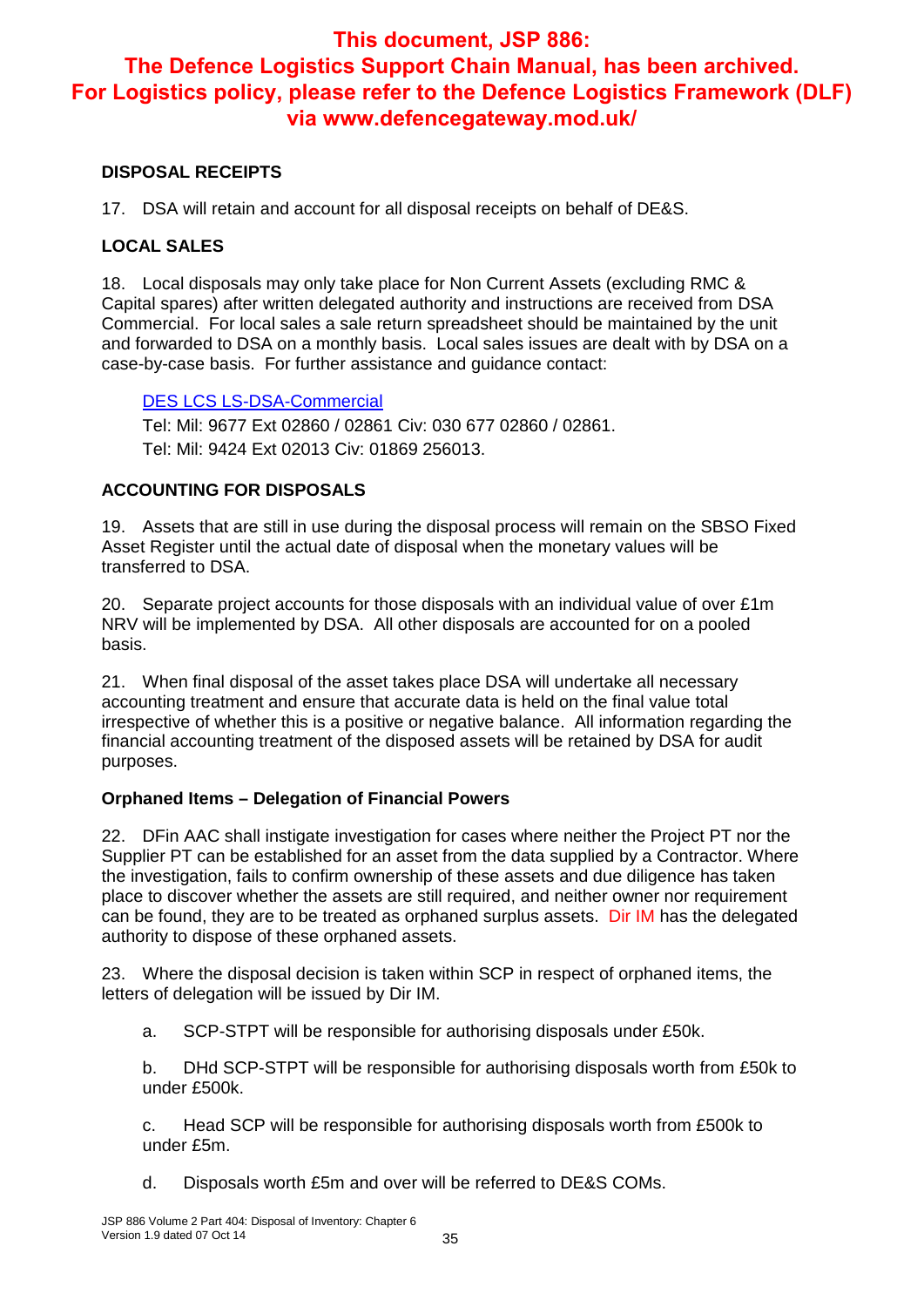#### **DISPOSAL RECEIPTS**

17. DSA will retain and account for all disposal receipts on behalf of DE&S.

#### **LOCAL SALES**

18. Local disposals may only take place for Non Current Assets (excluding RMC & Capital spares) after written delegated authority and instructions are received from DSA Commercial. For local sales a sale return spreadsheet should be maintained by the unit and forwarded to DSA on a monthly basis. Local sales issues are dealt with by DSA on a case-by-case basis. For further assistance and guidance contact:

#### DES LCS LS-DSA-Commercial

Tel: Mil: 9677 Ext 02860 / 02861 Civ: 030 677 02860 / 02861. Tel: Mil: 9424 Ext 02013 Civ: 01869 256013.

#### **ACCOUNTING FOR DISPOSALS**

19. Assets that are still in use during the disposal process will remain on the SBSO Fixed Asset Register until the actual date of disposal when the monetary values will be transferred to DSA.

20. Separate project accounts for those disposals with an individual value of over £1m NRV will be implemented by DSA. All other disposals are accounted for on a pooled basis.

21. When final disposal of the asset takes place DSA will undertake all necessary accounting treatment and ensure that accurate data is held on the final value total irrespective of whether this is a positive or negative balance. All information regarding the financial accounting treatment of the disposed assets will be retained by DSA for audit purposes.

#### **Orphaned Items – Delegation of Financial Powers**

22. DFin AAC shall instigate investigation for cases where neither the Project PT nor the Supplier PT can be established for an asset from the data supplied by a Contractor. Where the investigation, fails to confirm ownership of these assets and due diligence has taken place to discover whether the assets are still required, and neither owner nor requirement can be found, they are to be treated as orphaned surplus assets. Dir IM has the delegated authority to dispose of these orphaned assets.

23. Where the disposal decision is taken within SCP in respect of orphaned items, the letters of delegation will be issued by Dir IM.

a. SCP-STPT will be responsible for authorising disposals under £50k.

b. DHd SCP-STPT will be responsible for authorising disposals worth from £50k to under £500k.

c. Head SCP will be responsible for authorising disposals worth from £500k to under £5m.

d. Disposals worth £5m and over will be referred to DE&S COMs.